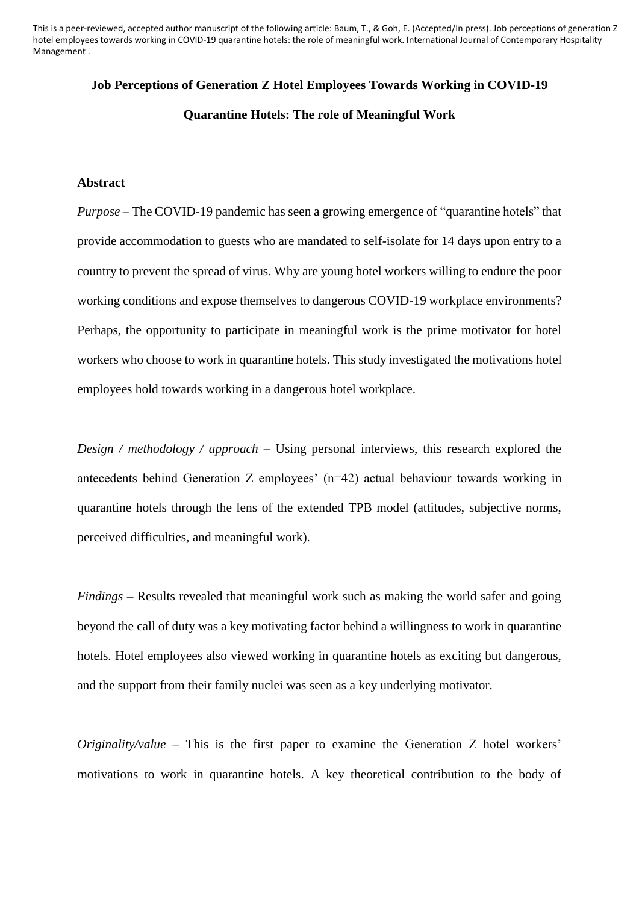This is a peer-reviewed, accepted author manuscript of the following article: Baum, T., & Goh, E. (Accepted/In press). Job perceptions of generation Z hotel employees towards working in COVID-19 quarantine hotels: the role of meaningful work. International Journal of Contemporary Hospitality Management .

# **Job Perceptions of Generation Z Hotel Employees Towards Working in COVID-19 Quarantine Hotels: The role of Meaningful Work**

## **Abstract**

*Purpose* – The COVID-19 pandemic has seen a growing emergence of "quarantine hotels" that provide accommodation to guests who are mandated to self-isolate for 14 days upon entry to a country to prevent the spread of virus. Why are young hotel workers willing to endure the poor working conditions and expose themselves to dangerous COVID-19 workplace environments? Perhaps, the opportunity to participate in meaningful work is the prime motivator for hotel workers who choose to work in quarantine hotels. This study investigated the motivations hotel employees hold towards working in a dangerous hotel workplace.

*Design / methodology / approach* **–** Using personal interviews, this research explored the antecedents behind Generation Z employees' (n=42) actual behaviour towards working in quarantine hotels through the lens of the extended TPB model (attitudes, subjective norms, perceived difficulties, and meaningful work).

*Findings* **–** Results revealed that meaningful work such as making the world safer and going beyond the call of duty was a key motivating factor behind a willingness to work in quarantine hotels. Hotel employees also viewed working in quarantine hotels as exciting but dangerous, and the support from their family nuclei was seen as a key underlying motivator.

*Originality/value* – This is the first paper to examine the Generation Z hotel workers' motivations to work in quarantine hotels. A key theoretical contribution to the body of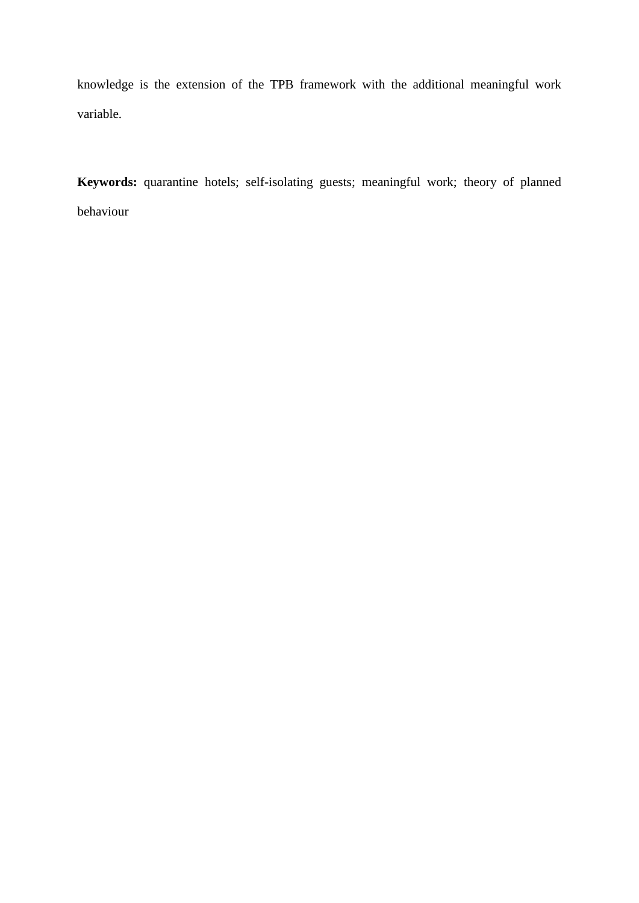knowledge is the extension of the TPB framework with the additional meaningful work variable.

**Keywords:** quarantine hotels; self-isolating guests; meaningful work; theory of planned behaviour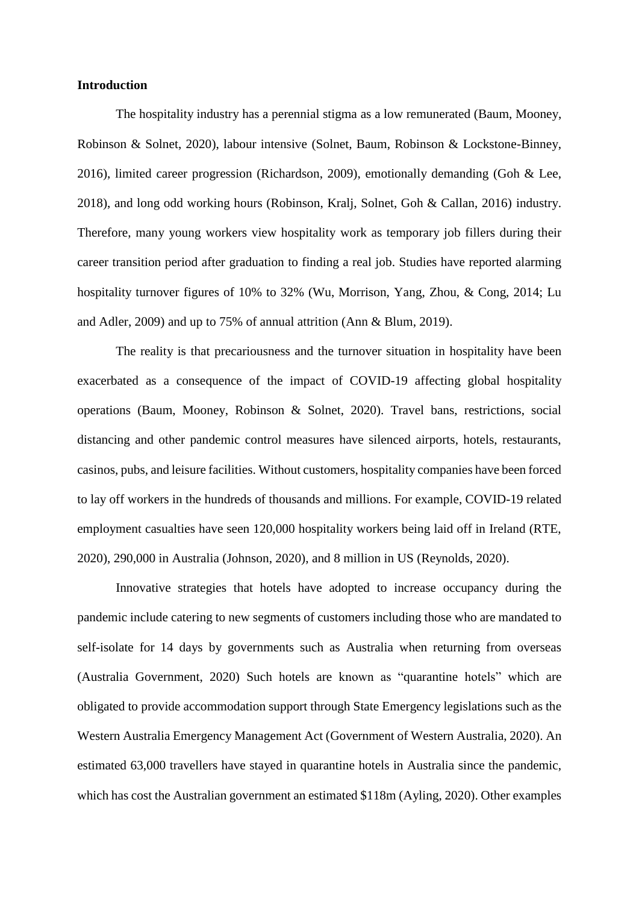## **Introduction**

The hospitality industry has a perennial stigma as a low remunerated (Baum, Mooney, Robinson & Solnet, 2020), labour intensive (Solnet, Baum, Robinson & Lockstone-Binney, 2016), limited career progression (Richardson, 2009), emotionally demanding (Goh & Lee, 2018), and long odd working hours (Robinson, Kralj, Solnet, Goh & Callan, 2016) industry. Therefore, many young workers view hospitality work as temporary job fillers during their career transition period after graduation to finding a real job. Studies have reported alarming hospitality turnover figures of 10% to 32% (Wu, Morrison, Yang, Zhou, & Cong, 2014; Lu and Adler, 2009) and up to 75% of annual attrition (Ann & Blum, 2019).

The reality is that precariousness and the turnover situation in hospitality have been exacerbated as a consequence of the impact of COVID-19 affecting global hospitality operations (Baum, Mooney, Robinson & Solnet, 2020). Travel bans, restrictions, social distancing and other pandemic control measures have silenced airports, hotels, restaurants, casinos, pubs, and leisure facilities. Without customers, hospitality companies have been forced to lay off workers in the hundreds of thousands and millions. For example, COVID-19 related employment casualties have seen 120,000 hospitality workers being laid off in Ireland (RTE, 2020), 290,000 in Australia (Johnson, 2020), and 8 million in US (Reynolds, 2020).

Innovative strategies that hotels have adopted to increase occupancy during the pandemic include catering to new segments of customers including those who are mandated to self-isolate for 14 days by governments such as Australia when returning from overseas (Australia Government, 2020) Such hotels are known as "quarantine hotels" which are obligated to provide accommodation support through State Emergency legislations such as the Western Australia Emergency Management Act (Government of Western Australia, 2020). An estimated 63,000 travellers have stayed in quarantine hotels in Australia since the pandemic, which has cost the Australian government an estimated \$118m (Ayling, 2020). Other examples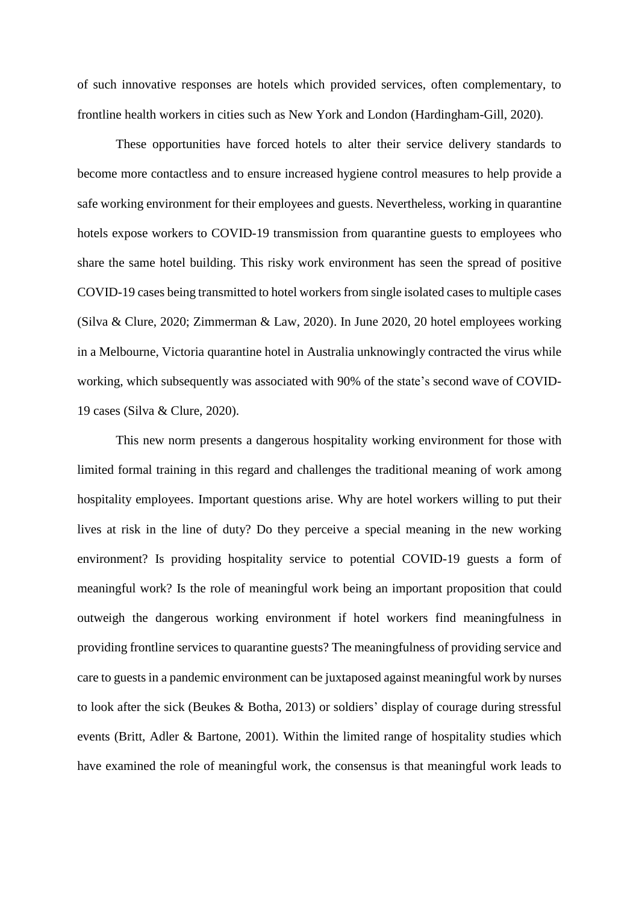of such innovative responses are hotels which provided services, often complementary, to frontline health workers in cities such as New York and London (Hardingham-Gill, 2020).

These opportunities have forced hotels to alter their service delivery standards to become more contactless and to ensure increased hygiene control measures to help provide a safe working environment for their employees and guests. Nevertheless, working in quarantine hotels expose workers to COVID-19 transmission from quarantine guests to employees who share the same hotel building. This risky work environment has seen the spread of positive COVID-19 cases being transmitted to hotel workers from single isolated cases to multiple cases (Silva & Clure, 2020; Zimmerman & Law, 2020). In June 2020, 20 hotel employees working in a Melbourne, Victoria quarantine hotel in Australia unknowingly contracted the virus while working, which subsequently was associated with 90% of the state's second wave of COVID-19 cases (Silva & Clure, 2020).

This new norm presents a dangerous hospitality working environment for those with limited formal training in this regard and challenges the traditional meaning of work among hospitality employees. Important questions arise. Why are hotel workers willing to put their lives at risk in the line of duty? Do they perceive a special meaning in the new working environment? Is providing hospitality service to potential COVID-19 guests a form of meaningful work? Is the role of meaningful work being an important proposition that could outweigh the dangerous working environment if hotel workers find meaningfulness in providing frontline services to quarantine guests? The meaningfulness of providing service and care to guests in a pandemic environment can be juxtaposed against meaningful work by nurses to look after the sick (Beukes & Botha, 2013) or soldiers' display of courage during stressful events (Britt, Adler & Bartone, 2001). Within the limited range of hospitality studies which have examined the role of meaningful work, the consensus is that meaningful work leads to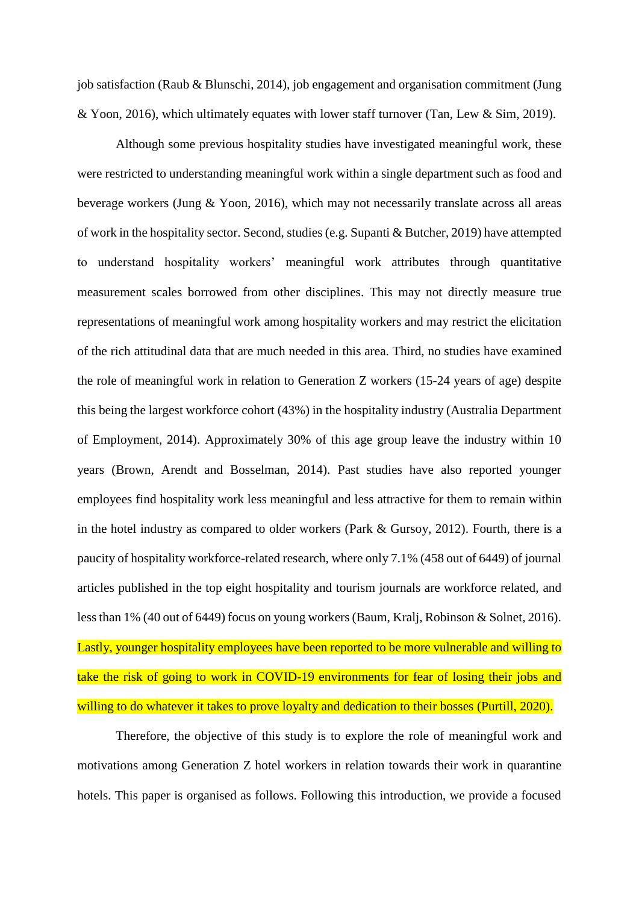job satisfaction (Raub & Blunschi, 2014), job engagement and organisation commitment (Jung & Yoon, 2016), which ultimately equates with lower staff turnover (Tan, Lew & Sim, 2019).

Although some previous hospitality studies have investigated meaningful work, these were restricted to understanding meaningful work within a single department such as food and beverage workers (Jung & Yoon, 2016), which may not necessarily translate across all areas of work in the hospitality sector. Second, studies (e.g. Supanti & Butcher, 2019) have attempted to understand hospitality workers' meaningful work attributes through quantitative measurement scales borrowed from other disciplines. This may not directly measure true representations of meaningful work among hospitality workers and may restrict the elicitation of the rich attitudinal data that are much needed in this area. Third, no studies have examined the role of meaningful work in relation to Generation Z workers (15-24 years of age) despite this being the largest workforce cohort (43%) in the hospitality industry (Australia Department of Employment, 2014). Approximately 30% of this age group leave the industry within 10 years (Brown, Arendt and Bosselman, 2014). Past studies have also reported younger employees find hospitality work less meaningful and less attractive for them to remain within in the hotel industry as compared to older workers (Park & Gursoy, 2012). Fourth, there is a paucity of hospitality workforce-related research, where only 7.1% (458 out of 6449) of journal articles published in the top eight hospitality and tourism journals are workforce related, and less than 1% (40 out of 6449) focus on young workers (Baum, Kralj, Robinson & Solnet, 2016). Lastly, younger hospitality employees have been reported to be more vulnerable and willing to take the risk of going to work in COVID-19 environments for fear of losing their jobs and willing to do whatever it takes to prove loyalty and dedication to their bosses (Purtill, 2020).

Therefore, the objective of this study is to explore the role of meaningful work and motivations among Generation Z hotel workers in relation towards their work in quarantine hotels. This paper is organised as follows. Following this introduction, we provide a focused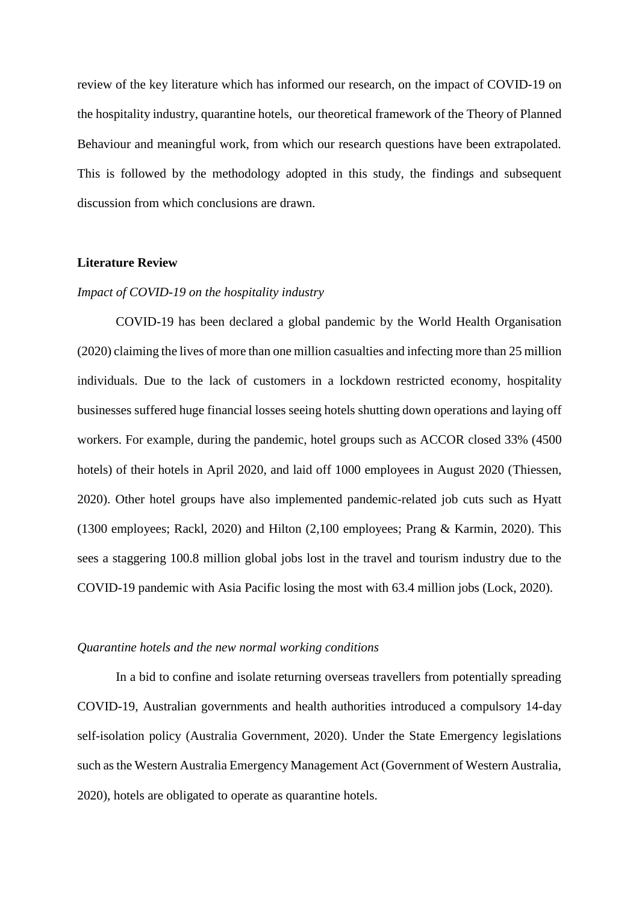review of the key literature which has informed our research, on the impact of COVID-19 on the hospitality industry, quarantine hotels, our theoretical framework of the Theory of Planned Behaviour and meaningful work, from which our research questions have been extrapolated. This is followed by the methodology adopted in this study, the findings and subsequent discussion from which conclusions are drawn.

## **Literature Review**

## *Impact of COVID-19 on the hospitality industry*

COVID-19 has been declared a global pandemic by the World Health Organisation (2020) claiming the lives of more than one million casualties and infecting more than 25 million individuals. Due to the lack of customers in a lockdown restricted economy, hospitality businesses suffered huge financial losses seeing hotels shutting down operations and laying off workers. For example, during the pandemic, hotel groups such as ACCOR closed 33% (4500 hotels) of their hotels in April 2020, and laid off 1000 employees in August 2020 (Thiessen, 2020). Other hotel groups have also implemented pandemic-related job cuts such as Hyatt (1300 employees; Rackl, 2020) and Hilton (2,100 employees; Prang & Karmin, 2020). This sees a staggering 100.8 million global jobs lost in the travel and tourism industry due to the COVID-19 pandemic with Asia Pacific losing the most with 63.4 million jobs (Lock, 2020).

#### *Quarantine hotels and the new normal working conditions*

In a bid to confine and isolate returning overseas travellers from potentially spreading COVID-19, Australian governments and health authorities introduced a compulsory 14-day self-isolation policy (Australia Government, 2020). Under the State Emergency legislations such as the Western Australia Emergency Management Act (Government of Western Australia, 2020), hotels are obligated to operate as quarantine hotels.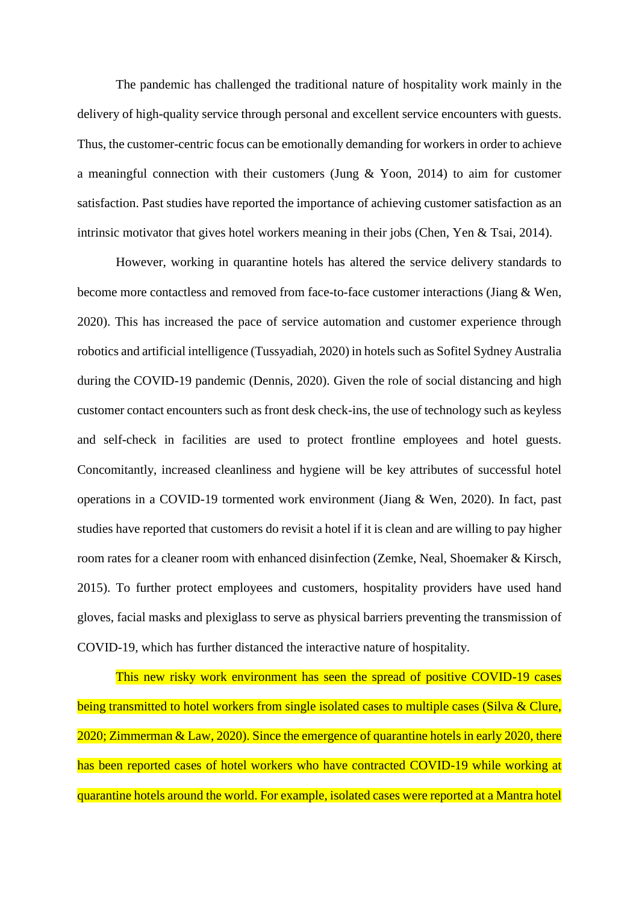The pandemic has challenged the traditional nature of hospitality work mainly in the delivery of high-quality service through personal and excellent service encounters with guests. Thus, the customer-centric focus can be emotionally demanding for workers in order to achieve a meaningful connection with their customers (Jung & Yoon, 2014) to aim for customer satisfaction. Past studies have reported the importance of achieving customer satisfaction as an intrinsic motivator that gives hotel workers meaning in their jobs (Chen, Yen & Tsai, 2014).

However, working in quarantine hotels has altered the service delivery standards to become more contactless and removed from face-to-face customer interactions (Jiang & Wen, 2020). This has increased the pace of service automation and customer experience through robotics and artificial intelligence (Tussyadiah, 2020) in hotels such as Sofitel Sydney Australia during the COVID-19 pandemic (Dennis, 2020). Given the role of social distancing and high customer contact encounters such as front desk check-ins, the use of technology such as keyless and self-check in facilities are used to protect frontline employees and hotel guests. Concomitantly, increased cleanliness and hygiene will be key attributes of successful hotel operations in a COVID-19 tormented work environment (Jiang & Wen, 2020). In fact, past studies have reported that customers do revisit a hotel if it is clean and are willing to pay higher room rates for a cleaner room with enhanced disinfection (Zemke, Neal, Shoemaker & Kirsch, 2015). To further protect employees and customers, hospitality providers have used hand gloves, facial masks and plexiglass to serve as physical barriers preventing the transmission of COVID-19, which has further distanced the interactive nature of hospitality.

This new risky work environment has seen the spread of positive COVID-19 cases being transmitted to hotel workers from single isolated cases to multiple cases (Silva & Clure, 2020; Zimmerman & Law, 2020). Since the emergence of quarantine hotels in early 2020, there has been reported cases of hotel workers who have contracted COVID-19 while working at quarantine hotels around the world. For example, isolated cases were reported at a Mantra hotel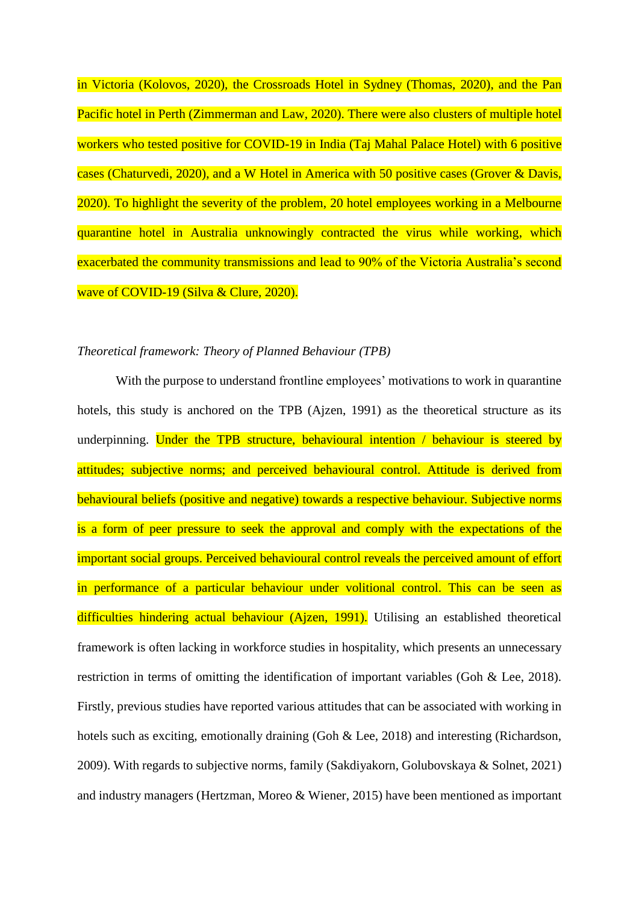in Victoria (Kolovos, 2020), the Crossroads Hotel in Sydney (Thomas, 2020), and the Pan Pacific hotel in Perth (Zimmerman and Law, 2020). There were also clusters of multiple hotel workers who tested positive for COVID-19 in India (Taj Mahal Palace Hotel) with 6 positive cases (Chaturvedi, 2020), and a W Hotel in America with 50 positive cases (Grover & Davis, 2020). To highlight the severity of the problem, 20 hotel employees working in a Melbourne quarantine hotel in Australia unknowingly contracted the virus while working, which exacerbated the community transmissions and lead to 90% of the Victoria Australia's second wave of COVID-19 (Silva & Clure, 2020).

## *Theoretical framework: Theory of Planned Behaviour (TPB)*

With the purpose to understand frontline employees' motivations to work in quarantine hotels, this study is anchored on the TPB (Ajzen, 1991) as the theoretical structure as its underpinning. Under the TPB structure, behavioural intention / behaviour is steered by attitudes; subjective norms; and perceived behavioural control. Attitude is derived from behavioural beliefs (positive and negative) towards a respective behaviour. Subjective norms is a form of peer pressure to seek the approval and comply with the expectations of the important social groups. Perceived behavioural control reveals the perceived amount of effort in performance of a particular behaviour under volitional control. This can be seen as difficulties hindering actual behaviour (Ajzen, 1991). Utilising an established theoretical framework is often lacking in workforce studies in hospitality, which presents an unnecessary restriction in terms of omitting the identification of important variables (Goh & Lee, 2018). Firstly, previous studies have reported various attitudes that can be associated with working in hotels such as exciting, emotionally draining (Goh & Lee, 2018) and interesting (Richardson, 2009). With regards to subjective norms, family (Sakdiyakorn, Golubovskaya & Solnet, 2021) and industry managers (Hertzman, Moreo & Wiener, 2015) have been mentioned as important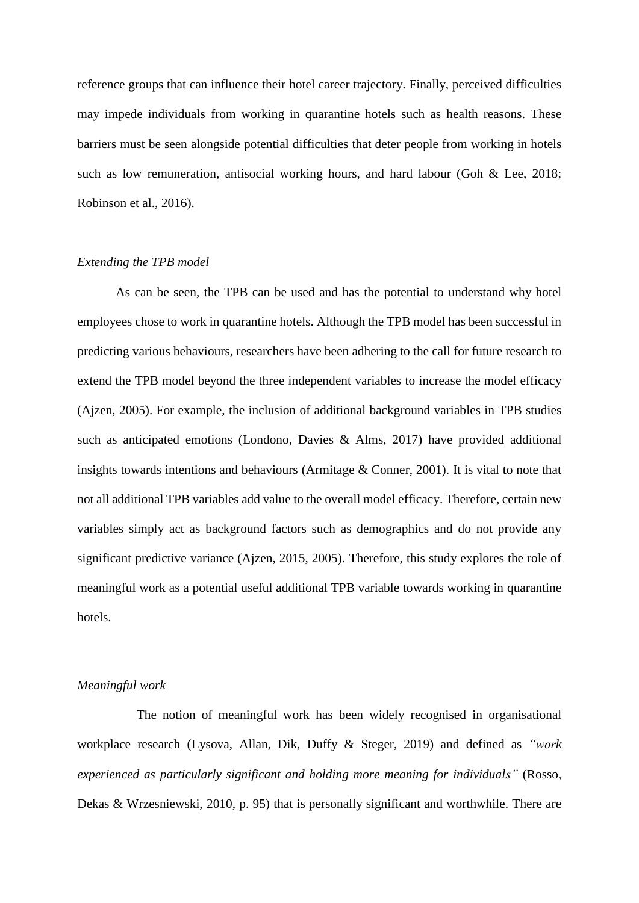reference groups that can influence their hotel career trajectory. Finally, perceived difficulties may impede individuals from working in quarantine hotels such as health reasons. These barriers must be seen alongside potential difficulties that deter people from working in hotels such as low remuneration, antisocial working hours, and hard labour (Goh & Lee, 2018; Robinson et al., 2016).

## *Extending the TPB model*

As can be seen, the TPB can be used and has the potential to understand why hotel employees chose to work in quarantine hotels. Although the TPB model has been successful in predicting various behaviours, researchers have been adhering to the call for future research to extend the TPB model beyond the three independent variables to increase the model efficacy (Ajzen, 2005). For example, the inclusion of additional background variables in TPB studies such as anticipated emotions (Londono, Davies & Alms, 2017) have provided additional insights towards intentions and behaviours (Armitage & Conner, 2001). It is vital to note that not all additional TPB variables add value to the overall model efficacy. Therefore, certain new variables simply act as background factors such as demographics and do not provide any significant predictive variance (Ajzen, 2015, 2005). Therefore, this study explores the role of meaningful work as a potential useful additional TPB variable towards working in quarantine hotels.

## *Meaningful work*

The notion of meaningful work has been widely recognised in organisational workplace research (Lysova, Allan, Dik, Duffy & Steger, 2019) and defined as *"work experienced as particularly significant and holding more meaning for individuals"* (Rosso, Dekas & Wrzesniewski, 2010, p. 95) that is personally significant and worthwhile. There are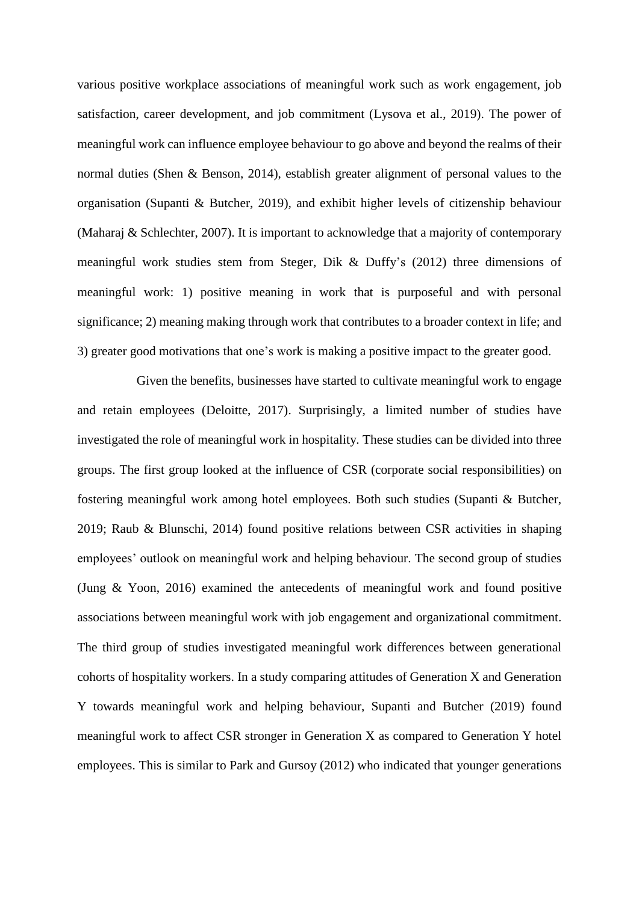various positive workplace associations of meaningful work such as work engagement, job satisfaction, career development, and job commitment (Lysova et al., 2019). The power of meaningful work can influence employee behaviour to go above and beyond the realms of their normal duties (Shen & Benson, 2014), establish greater alignment of personal values to the organisation (Supanti & Butcher, 2019), and exhibit higher levels of citizenship behaviour (Maharaj & Schlechter, 2007). It is important to acknowledge that a majority of contemporary meaningful work studies stem from Steger, Dik & Duffy's (2012) three dimensions of meaningful work: 1) positive meaning in work that is purposeful and with personal significance; 2) meaning making through work that contributes to a broader context in life; and 3) greater good motivations that one's work is making a positive impact to the greater good.

Given the benefits, businesses have started to cultivate meaningful work to engage and retain employees (Deloitte, 2017). Surprisingly, a limited number of studies have investigated the role of meaningful work in hospitality. These studies can be divided into three groups. The first group looked at the influence of CSR (corporate social responsibilities) on fostering meaningful work among hotel employees. Both such studies (Supanti & Butcher, 2019; Raub & Blunschi, 2014) found positive relations between CSR activities in shaping employees' outlook on meaningful work and helping behaviour. The second group of studies (Jung & Yoon, 2016) examined the antecedents of meaningful work and found positive associations between meaningful work with job engagement and organizational commitment. The third group of studies investigated meaningful work differences between generational cohorts of hospitality workers. In a study comparing attitudes of Generation X and Generation Y towards meaningful work and helping behaviour, Supanti and Butcher (2019) found meaningful work to affect CSR stronger in Generation X as compared to Generation Y hotel employees. This is similar to Park and Gursoy (2012) who indicated that younger generations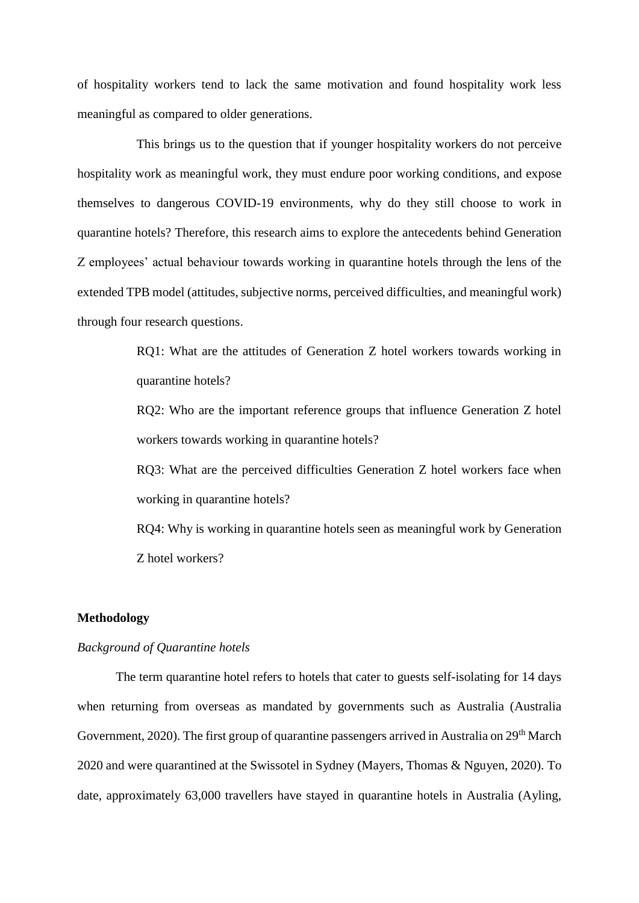of hospitality workers tend to lack the same motivation and found hospitality work less meaningful as compared to older generations.

This brings us to the question that if younger hospitality workers do not perceive hospitality work as meaningful work, they must endure poor working conditions, and expose themselves to dangerous COVID-19 environments, why do they still choose to work in quarantine hotels? Therefore, this research aims to explore the antecedents behind Generation Z employees' actual behaviour towards working in quarantine hotels through the lens of the extended TPB model (attitudes, subjective norms, perceived difficulties, and meaningful work) through four research questions.

> RQ1: What are the attitudes of Generation Z hotel workers towards working in quarantine hotels?

> RQ2: Who are the important reference groups that influence Generation Z hotel workers towards working in quarantine hotels?

> RQ3: What are the perceived difficulties Generation Z hotel workers face when working in quarantine hotels?

> RQ4: Why is working in quarantine hotels seen as meaningful work by Generation Z hotel workers?

### **Methodology**

#### *Background of Quarantine hotels*

The term quarantine hotel refers to hotels that cater to guests self-isolating for 14 days when returning from overseas as mandated by governments such as Australia (Australia Government, 2020). The first group of quarantine passengers arrived in Australia on 29<sup>th</sup> March 2020 and were quarantined at the Swissotel in Sydney (Mayers, Thomas & Nguyen, 2020). To date, approximately 63,000 travellers have stayed in quarantine hotels in Australia (Ayling,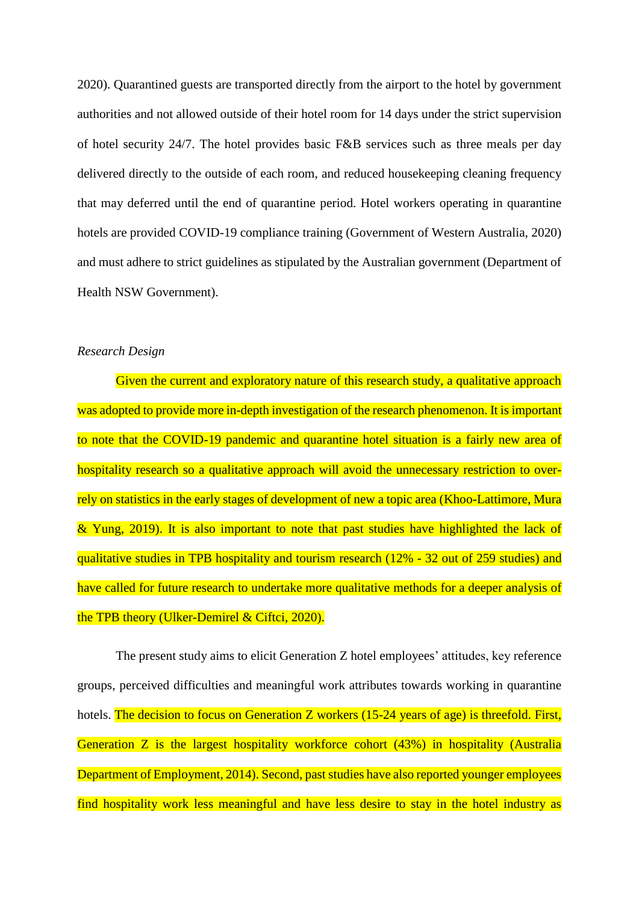2020). Quarantined guests are transported directly from the airport to the hotel by government authorities and not allowed outside of their hotel room for 14 days under the strict supervision of hotel security 24/7. The hotel provides basic F&B services such as three meals per day delivered directly to the outside of each room, and reduced housekeeping cleaning frequency that may deferred until the end of quarantine period. Hotel workers operating in quarantine hotels are provided COVID-19 compliance training (Government of Western Australia, 2020) and must adhere to strict guidelines as stipulated by the Australian government (Department of Health NSW Government).

### *Research Design*

Given the current and exploratory nature of this research study, a qualitative approach was adopted to provide more in-depth investigation of the research phenomenon. It is important to note that the COVID-19 pandemic and quarantine hotel situation is a fairly new area of hospitality research so a qualitative approach will avoid the unnecessary restriction to overrely on statistics in the early stages of development of new a topic area (Khoo-Lattimore, Mura & Yung, 2019). It is also important to note that past studies have highlighted the lack of qualitative studies in TPB hospitality and tourism research (12% - 32 out of 259 studies) and have called for future research to undertake more qualitative methods for a deeper analysis of the TPB theory (Ulker-Demirel & Ciftci, 2020).

The present study aims to elicit Generation Z hotel employees' attitudes, key reference groups, perceived difficulties and meaningful work attributes towards working in quarantine hotels. The decision to focus on Generation Z workers (15-24 years of age) is threefold. First, Generation Z is the largest hospitality workforce cohort (43%) in hospitality (Australia Department of Employment, 2014). Second, past studies have also reported younger employees find hospitality work less meaningful and have less desire to stay in the hotel industry as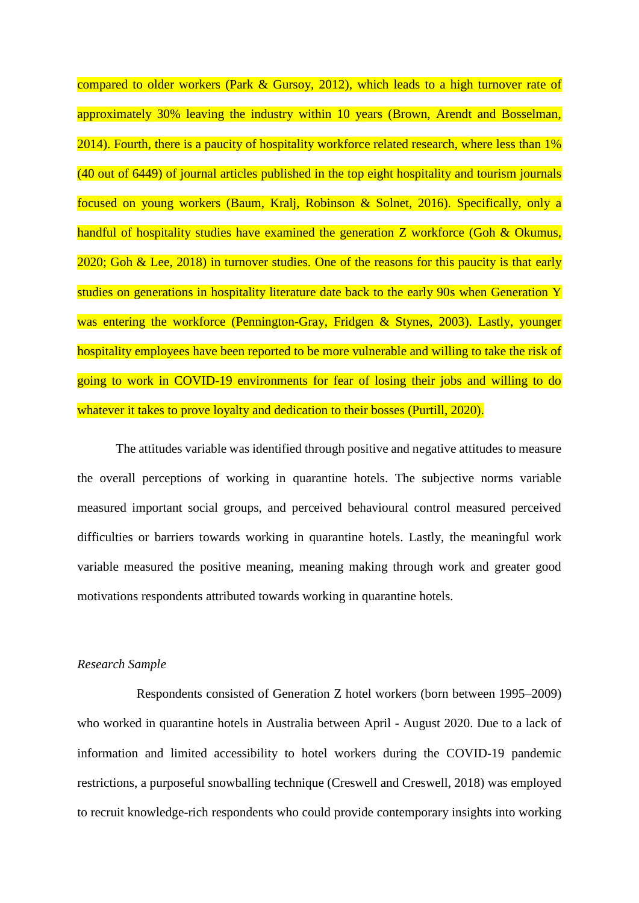compared to older workers (Park & Gursoy, 2012), which leads to a high turnover rate of approximately 30% leaving the industry within 10 years (Brown, Arendt and Bosselman, 2014). Fourth, there is a paucity of hospitality workforce related research, where less than 1% (40 out of 6449) of journal articles published in the top eight hospitality and tourism journals focused on young workers (Baum, Kralj, Robinson & Solnet, 2016). Specifically, only a handful of hospitality studies have examined the generation Z workforce (Goh & Okumus, 2020; Goh & Lee, 2018) in turnover studies. One of the reasons for this paucity is that early studies on generations in hospitality literature date back to the early 90s when Generation Y was entering the workforce (Pennington-Gray, Fridgen & Stynes, 2003). Lastly, younger hospitality employees have been reported to be more vulnerable and willing to take the risk of going to work in COVID-19 environments for fear of losing their jobs and willing to do whatever it takes to prove loyalty and dedication to their bosses (Purtill, 2020).

The attitudes variable was identified through positive and negative attitudes to measure the overall perceptions of working in quarantine hotels. The subjective norms variable measured important social groups, and perceived behavioural control measured perceived difficulties or barriers towards working in quarantine hotels. Lastly, the meaningful work variable measured the positive meaning, meaning making through work and greater good motivations respondents attributed towards working in quarantine hotels.

## *Research Sample*

Respondents consisted of Generation Z hotel workers (born between 1995–2009) who worked in quarantine hotels in Australia between April - August 2020. Due to a lack of information and limited accessibility to hotel workers during the COVID-19 pandemic restrictions, a purposeful snowballing technique (Creswell and Creswell, 2018) was employed to recruit knowledge-rich respondents who could provide contemporary insights into working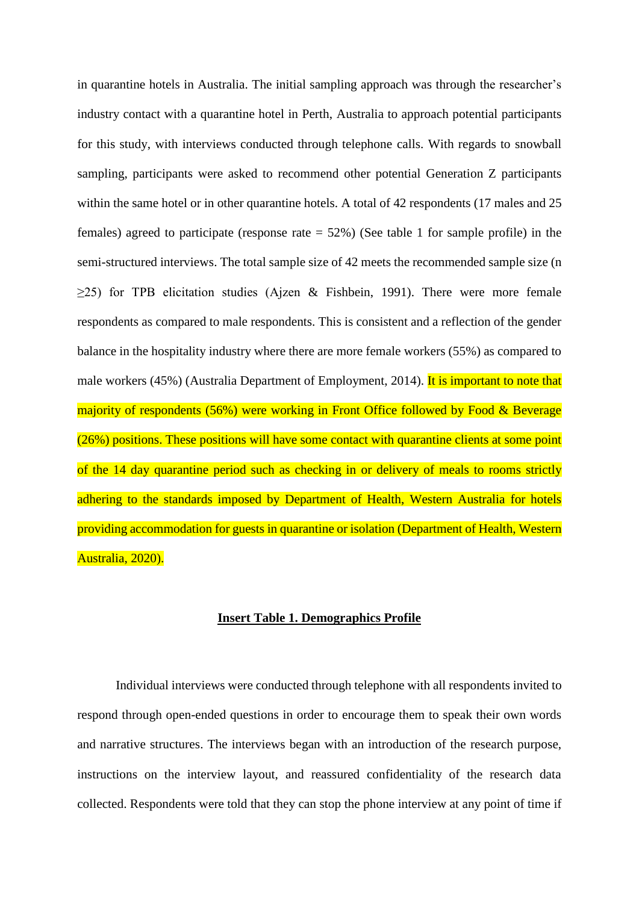in quarantine hotels in Australia. The initial sampling approach was through the researcher's industry contact with a quarantine hotel in Perth, Australia to approach potential participants for this study, with interviews conducted through telephone calls. With regards to snowball sampling, participants were asked to recommend other potential Generation Z participants within the same hotel or in other quarantine hotels. A total of 42 respondents (17 males and 25 females) agreed to participate (response rate  $= 52\%$ ) (See table 1 for sample profile) in the semi-structured interviews. The total sample size of 42 meets the recommended sample size (n  $\geq$ 25) for TPB elicitation studies (Ajzen & Fishbein, 1991). There were more female respondents as compared to male respondents. This is consistent and a reflection of the gender balance in the hospitality industry where there are more female workers (55%) as compared to male workers (45%) (Australia Department of Employment, 2014). It is important to note that majority of respondents (56%) were working in Front Office followed by Food & Beverage (26%) positions. These positions will have some contact with quarantine clients at some point of the 14 day quarantine period such as checking in or delivery of meals to rooms strictly adhering to the standards imposed by Department of Health, Western Australia for hotels providing accommodation for guests in quarantine or isolation (Department of Health, Western Australia, 2020).

## **Insert Table 1. Demographics Profile**

Individual interviews were conducted through telephone with all respondents invited to respond through open-ended questions in order to encourage them to speak their own words and narrative structures. The interviews began with an introduction of the research purpose, instructions on the interview layout, and reassured confidentiality of the research data collected. Respondents were told that they can stop the phone interview at any point of time if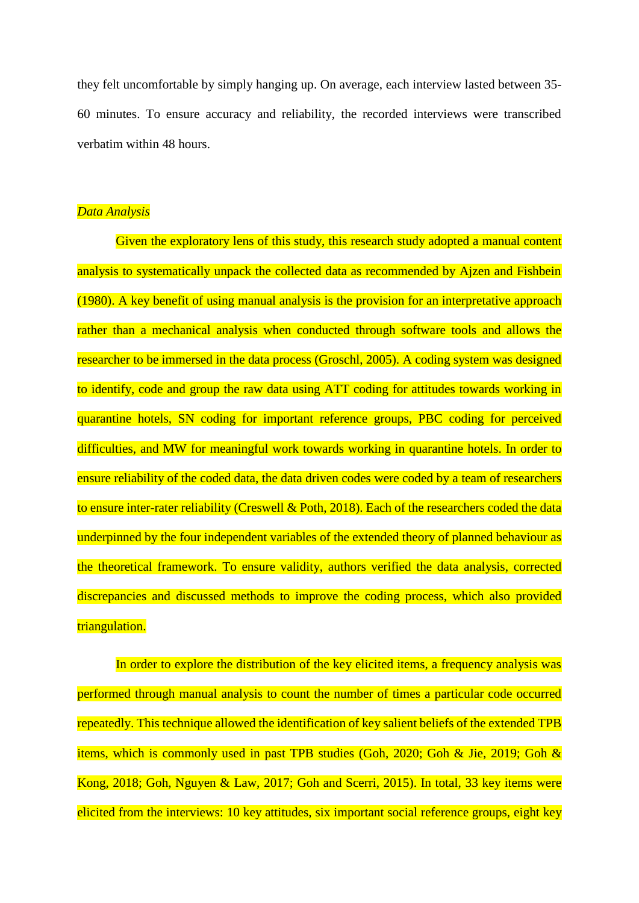they felt uncomfortable by simply hanging up. On average, each interview lasted between 35- 60 minutes. To ensure accuracy and reliability, the recorded interviews were transcribed verbatim within 48 hours.

## *Data Analysis*

Given the exploratory lens of this study, this research study adopted a manual content analysis to systematically unpack the collected data as recommended by Ajzen and Fishbein (1980). A key benefit of using manual analysis is the provision for an interpretative approach rather than a mechanical analysis when conducted through software tools and allows the researcher to be immersed in the data process (Groschl, 2005). A coding system was designed to identify, code and group the raw data using ATT coding for attitudes towards working in quarantine hotels, SN coding for important reference groups, PBC coding for perceived difficulties, and MW for meaningful work towards working in quarantine hotels. In order to ensure reliability of the coded data, the data driven codes were coded by a team of researchers to ensure inter-rater reliability (Creswell & Poth, 2018). Each of the researchers coded the data underpinned by the four independent variables of the extended theory of planned behaviour as the theoretical framework. To ensure validity, authors verified the data analysis, corrected discrepancies and discussed methods to improve the coding process, which also provided triangulation.

In order to explore the distribution of the key elicited items, a frequency analysis was performed through manual analysis to count the number of times a particular code occurred repeatedly. This technique allowed the identification of key salient beliefs of the extended TPB items, which is commonly used in past TPB studies (Goh, 2020; Goh & Jie, 2019; Goh & Kong, 2018; Goh, Nguyen & Law, 2017; Goh and Scerri, 2015). In total, 33 key items were elicited from the interviews: 10 key attitudes, six important social reference groups, eight key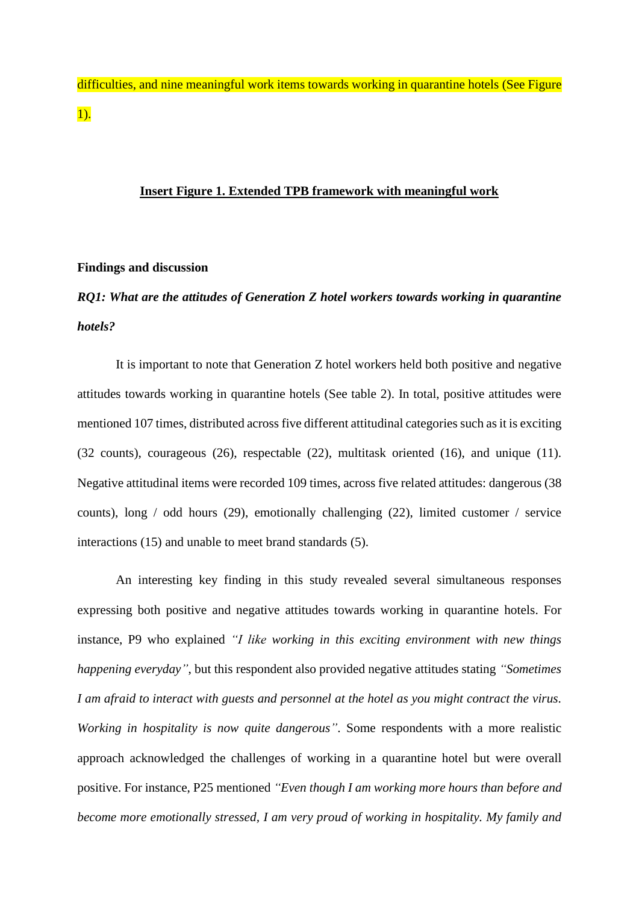difficulties, and nine meaningful work items towards working in quarantine hotels (See Figure 1).

## **Insert Figure 1. Extended TPB framework with meaningful work**

### **Findings and discussion**

# *RQ1: What are the attitudes of Generation Z hotel workers towards working in quarantine hotels?*

It is important to note that Generation Z hotel workers held both positive and negative attitudes towards working in quarantine hotels (See table 2). In total, positive attitudes were mentioned 107 times, distributed across five different attitudinal categoriessuch as it is exciting (32 counts), courageous (26), respectable (22), multitask oriented (16), and unique (11). Negative attitudinal items were recorded 109 times, across five related attitudes: dangerous (38 counts), long / odd hours (29), emotionally challenging (22), limited customer / service interactions (15) and unable to meet brand standards (5).

An interesting key finding in this study revealed several simultaneous responses expressing both positive and negative attitudes towards working in quarantine hotels. For instance, P9 who explained *"I like working in this exciting environment with new things happening everyday"*, but this respondent also provided negative attitudes stating *"Sometimes I am afraid to interact with guests and personnel at the hotel as you might contract the virus. Working in hospitality is now quite dangerous"*. Some respondents with a more realistic approach acknowledged the challenges of working in a quarantine hotel but were overall positive. For instance, P25 mentioned *"Even though I am working more hours than before and become more emotionally stressed, I am very proud of working in hospitality. My family and*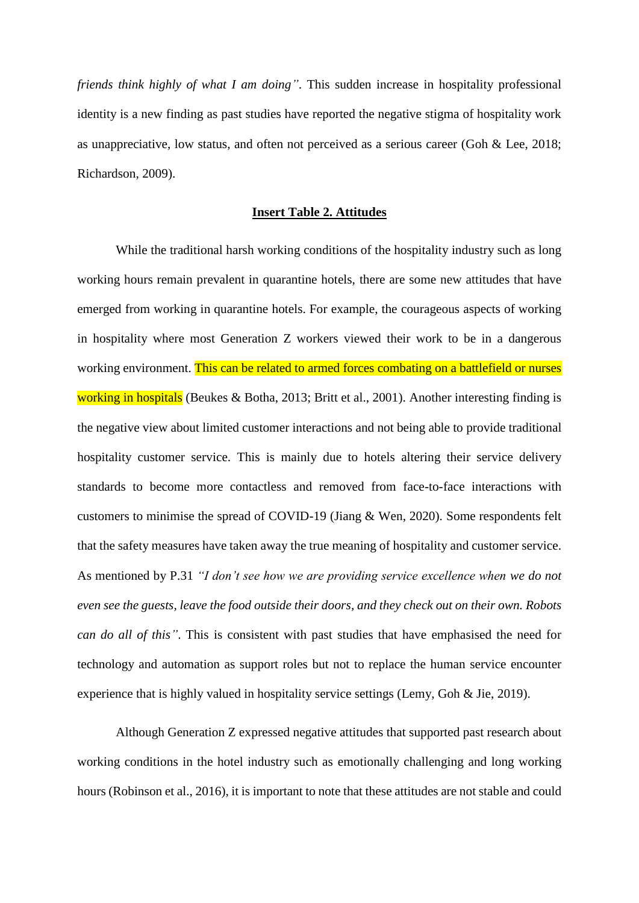*friends think highly of what I am doing"*. This sudden increase in hospitality professional identity is a new finding as past studies have reported the negative stigma of hospitality work as unappreciative, low status, and often not perceived as a serious career (Goh & Lee, 2018; Richardson, 2009).

## **Insert Table 2. Attitudes**

While the traditional harsh working conditions of the hospitality industry such as long working hours remain prevalent in quarantine hotels, there are some new attitudes that have emerged from working in quarantine hotels. For example, the courageous aspects of working in hospitality where most Generation Z workers viewed their work to be in a dangerous working environment. This can be related to armed forces combating on a battlefield or nurses working in hospitals (Beukes & Botha, 2013; Britt et al., 2001). Another interesting finding is the negative view about limited customer interactions and not being able to provide traditional hospitality customer service. This is mainly due to hotels altering their service delivery standards to become more contactless and removed from face-to-face interactions with customers to minimise the spread of COVID-19 (Jiang & Wen, 2020). Some respondents felt that the safety measures have taken away the true meaning of hospitality and customer service. As mentioned by P.31 *"I don't see how we are providing service excellence when we do not even see the guests, leave the food outside their doors, and they check out on their own. Robots can do all of this"*. This is consistent with past studies that have emphasised the need for technology and automation as support roles but not to replace the human service encounter experience that is highly valued in hospitality service settings (Lemy, Goh & Jie, 2019).

Although Generation Z expressed negative attitudes that supported past research about working conditions in the hotel industry such as emotionally challenging and long working hours (Robinson et al., 2016), it is important to note that these attitudes are not stable and could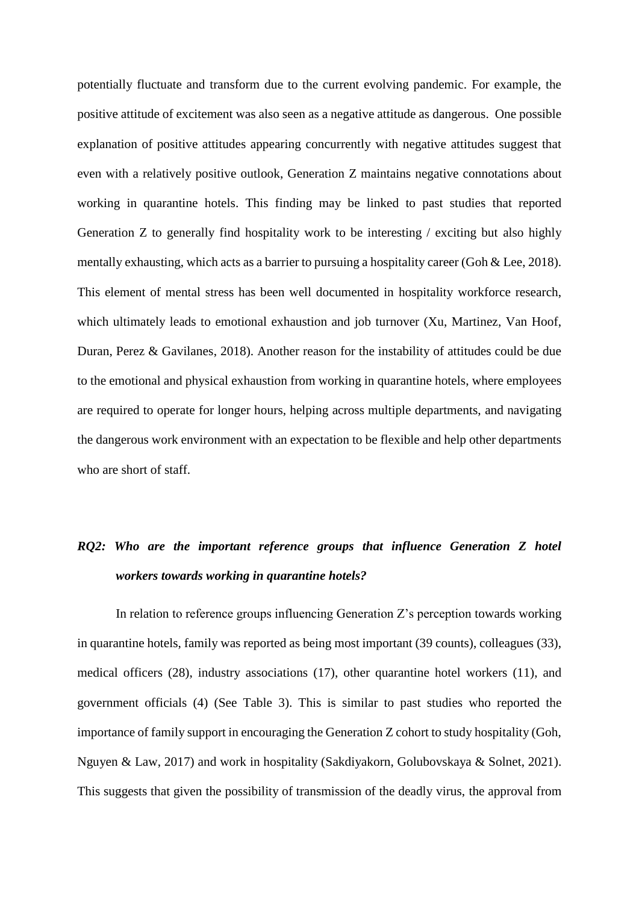potentially fluctuate and transform due to the current evolving pandemic. For example, the positive attitude of excitement was also seen as a negative attitude as dangerous. One possible explanation of positive attitudes appearing concurrently with negative attitudes suggest that even with a relatively positive outlook, Generation Z maintains negative connotations about working in quarantine hotels. This finding may be linked to past studies that reported Generation Z to generally find hospitality work to be interesting / exciting but also highly mentally exhausting, which acts as a barrier to pursuing a hospitality career (Goh & Lee, 2018). This element of mental stress has been well documented in hospitality workforce research, which ultimately leads to emotional exhaustion and job turnover (Xu, Martinez, Van Hoof, Duran, Perez & Gavilanes, 2018). Another reason for the instability of attitudes could be due to the emotional and physical exhaustion from working in quarantine hotels, where employees are required to operate for longer hours, helping across multiple departments, and navigating the dangerous work environment with an expectation to be flexible and help other departments who are short of staff.

# *RQ2: Who are the important reference groups that influence Generation Z hotel workers towards working in quarantine hotels?*

In relation to reference groups influencing Generation Z's perception towards working in quarantine hotels, family was reported as being most important (39 counts), colleagues (33), medical officers (28), industry associations (17), other quarantine hotel workers (11), and government officials (4) (See Table 3). This is similar to past studies who reported the importance of family support in encouraging the Generation Z cohort to study hospitality (Goh, Nguyen & Law, 2017) and work in hospitality (Sakdiyakorn, Golubovskaya & Solnet, 2021). This suggests that given the possibility of transmission of the deadly virus, the approval from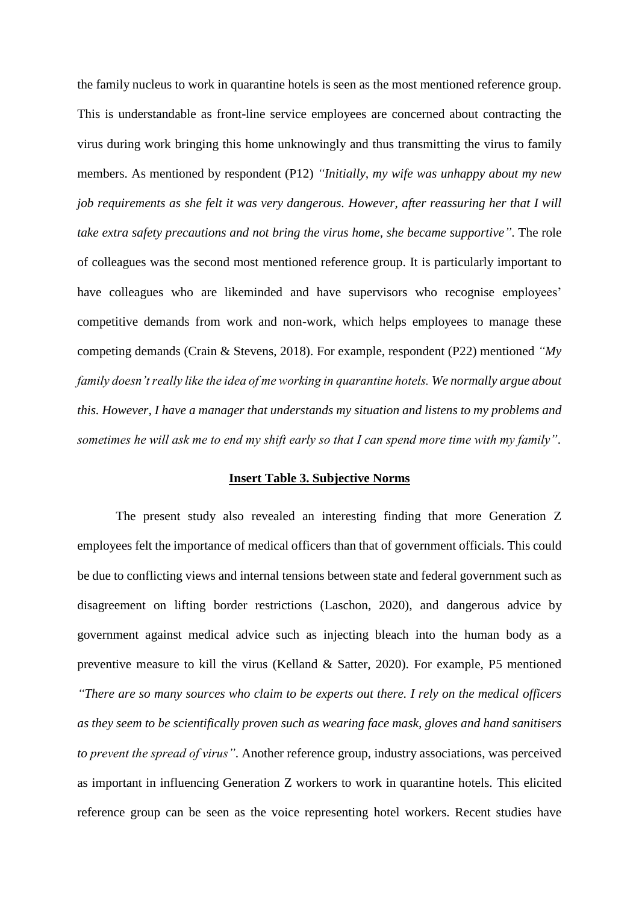the family nucleus to work in quarantine hotels is seen as the most mentioned reference group. This is understandable as front-line service employees are concerned about contracting the virus during work bringing this home unknowingly and thus transmitting the virus to family members. As mentioned by respondent (P12) *"Initially, my wife was unhappy about my new job requirements as she felt it was very dangerous. However, after reassuring her that I will take extra safety precautions and not bring the virus home, she became supportive"*. The role of colleagues was the second most mentioned reference group. It is particularly important to have colleagues who are likeminded and have supervisors who recognise employees' competitive demands from work and non-work, which helps employees to manage these competing demands (Crain & Stevens, 2018). For example, respondent (P22) mentioned *"My family doesn't really like the idea of me working in quarantine hotels. We normally argue about this. However, I have a manager that understands my situation and listens to my problems and sometimes he will ask me to end my shift early so that I can spend more time with my family"*.

### **Insert Table 3. Subjective Norms**

The present study also revealed an interesting finding that more Generation Z employees felt the importance of medical officers than that of government officials. This could be due to conflicting views and internal tensions between state and federal government such as disagreement on lifting border restrictions (Laschon, 2020), and dangerous advice by government against medical advice such as injecting bleach into the human body as a preventive measure to kill the virus (Kelland & Satter, 2020). For example, P5 mentioned *"There are so many sources who claim to be experts out there. I rely on the medical officers as they seem to be scientifically proven such as wearing face mask, gloves and hand sanitisers to prevent the spread of virus"*. Another reference group, industry associations, was perceived as important in influencing Generation Z workers to work in quarantine hotels. This elicited reference group can be seen as the voice representing hotel workers. Recent studies have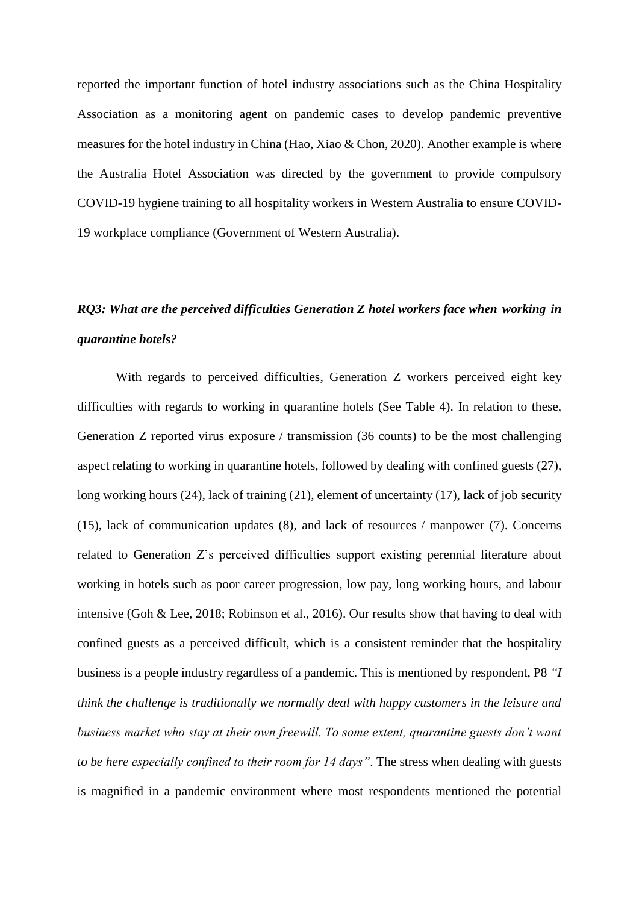reported the important function of hotel industry associations such as the China Hospitality Association as a monitoring agent on pandemic cases to develop pandemic preventive measures for the hotel industry in China (Hao, Xiao & Chon, 2020). Another example is where the Australia Hotel Association was directed by the government to provide compulsory COVID-19 hygiene training to all hospitality workers in Western Australia to ensure COVID-19 workplace compliance (Government of Western Australia).

# *RQ3: What are the perceived difficulties Generation Z hotel workers face when working in quarantine hotels?*

With regards to perceived difficulties, Generation Z workers perceived eight key difficulties with regards to working in quarantine hotels (See Table 4). In relation to these, Generation Z reported virus exposure / transmission (36 counts) to be the most challenging aspect relating to working in quarantine hotels, followed by dealing with confined guests (27), long working hours (24), lack of training (21), element of uncertainty (17), lack of job security (15), lack of communication updates (8), and lack of resources / manpower (7). Concerns related to Generation Z's perceived difficulties support existing perennial literature about working in hotels such as poor career progression, low pay, long working hours, and labour intensive (Goh & Lee, 2018; Robinson et al., 2016). Our results show that having to deal with confined guests as a perceived difficult, which is a consistent reminder that the hospitality business is a people industry regardless of a pandemic. This is mentioned by respondent, P8 *"I think the challenge is traditionally we normally deal with happy customers in the leisure and business market who stay at their own freewill. To some extent, quarantine guests don't want to be here especially confined to their room for 14 days"*. The stress when dealing with guests is magnified in a pandemic environment where most respondents mentioned the potential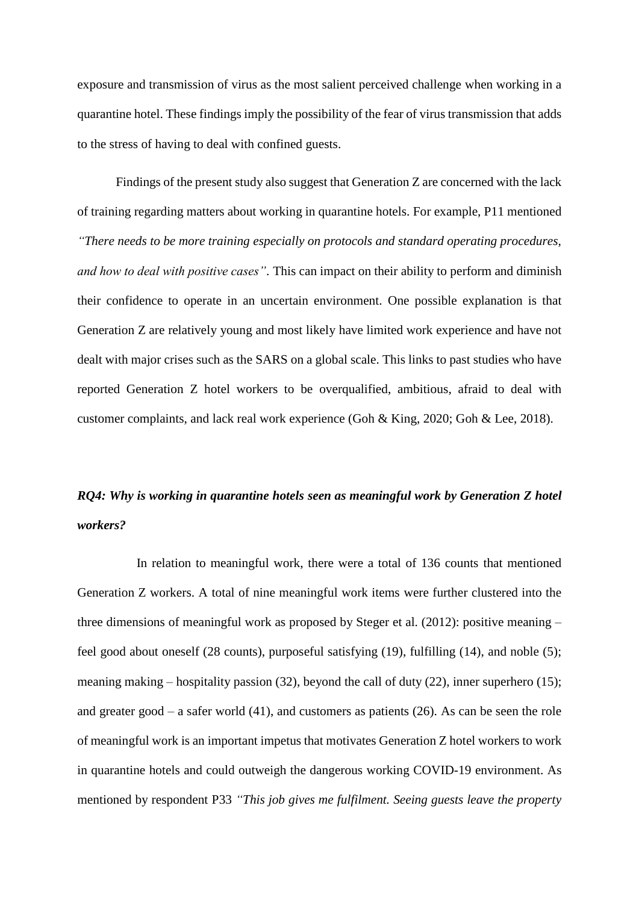exposure and transmission of virus as the most salient perceived challenge when working in a quarantine hotel. These findings imply the possibility of the fear of virus transmission that adds to the stress of having to deal with confined guests.

Findings of the present study also suggest that Generation Z are concerned with the lack of training regarding matters about working in quarantine hotels. For example, P11 mentioned *"There needs to be more training especially on protocols and standard operating procedures, and how to deal with positive cases"*. This can impact on their ability to perform and diminish their confidence to operate in an uncertain environment. One possible explanation is that Generation Z are relatively young and most likely have limited work experience and have not dealt with major crises such as the SARS on a global scale. This links to past studies who have reported Generation Z hotel workers to be overqualified, ambitious, afraid to deal with customer complaints, and lack real work experience (Goh & King, 2020; Goh & Lee, 2018).

# *RQ4: Why is working in quarantine hotels seen as meaningful work by Generation Z hotel workers?*

In relation to meaningful work, there were a total of 136 counts that mentioned Generation Z workers. A total of nine meaningful work items were further clustered into the three dimensions of meaningful work as proposed by Steger et al. (2012): positive meaning – feel good about oneself (28 counts), purposeful satisfying (19), fulfilling (14), and noble (5); meaning making – hospitality passion (32), beyond the call of duty (22), inner superhero (15); and greater good – a safer world  $(41)$ , and customers as patients  $(26)$ . As can be seen the role of meaningful work is an important impetus that motivates Generation Z hotel workers to work in quarantine hotels and could outweigh the dangerous working COVID-19 environment. As mentioned by respondent P33 *"This job gives me fulfilment. Seeing guests leave the property*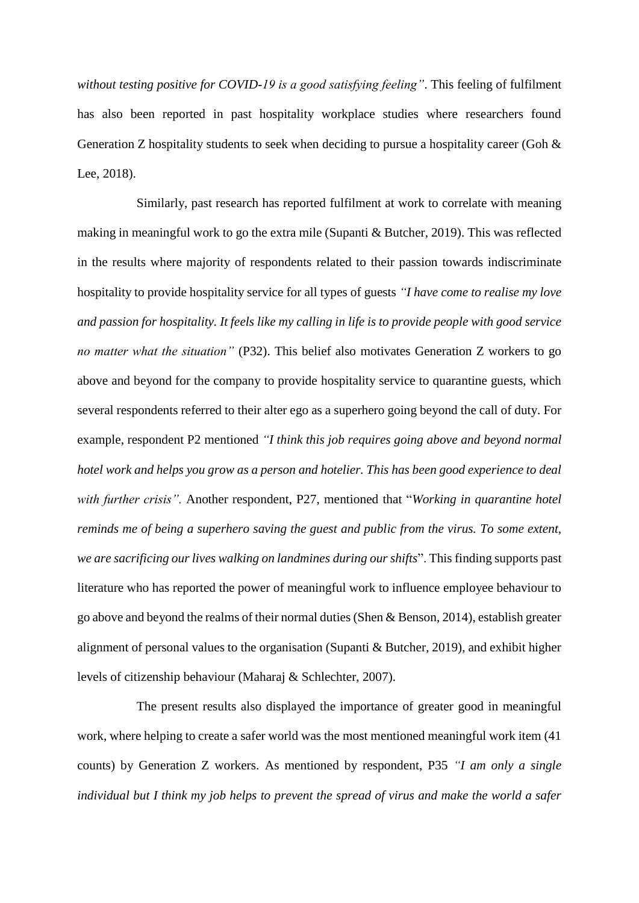*without testing positive for COVID-19 is a good satisfying feeling"*. This feeling of fulfilment has also been reported in past hospitality workplace studies where researchers found Generation Z hospitality students to seek when deciding to pursue a hospitality career (Goh & Lee, 2018).

Similarly, past research has reported fulfilment at work to correlate with meaning making in meaningful work to go the extra mile (Supanti & Butcher, 2019). This was reflected in the results where majority of respondents related to their passion towards indiscriminate hospitality to provide hospitality service for all types of guests *"I have come to realise my love and passion for hospitality. It feels like my calling in life is to provide people with good service no matter what the situation"* (P32). This belief also motivates Generation Z workers to go above and beyond for the company to provide hospitality service to quarantine guests, which several respondents referred to their alter ego as a superhero going beyond the call of duty. For example, respondent P2 mentioned *"I think this job requires going above and beyond normal hotel work and helps you grow as a person and hotelier. This has been good experience to deal with further crisis".* Another respondent, P27, mentioned that "*Working in quarantine hotel reminds me of being a superhero saving the guest and public from the virus. To some extent, we are sacrificing our lives walking on landmines during our shifts*". This finding supports past literature who has reported the power of meaningful work to influence employee behaviour to go above and beyond the realms of their normal duties (Shen & Benson, 2014), establish greater alignment of personal values to the organisation (Supanti & Butcher, 2019), and exhibit higher levels of citizenship behaviour (Maharaj & Schlechter, 2007).

The present results also displayed the importance of greater good in meaningful work, where helping to create a safer world was the most mentioned meaningful work item (41 counts) by Generation Z workers. As mentioned by respondent, P35 *"I am only a single individual but I think my job helps to prevent the spread of virus and make the world a safer*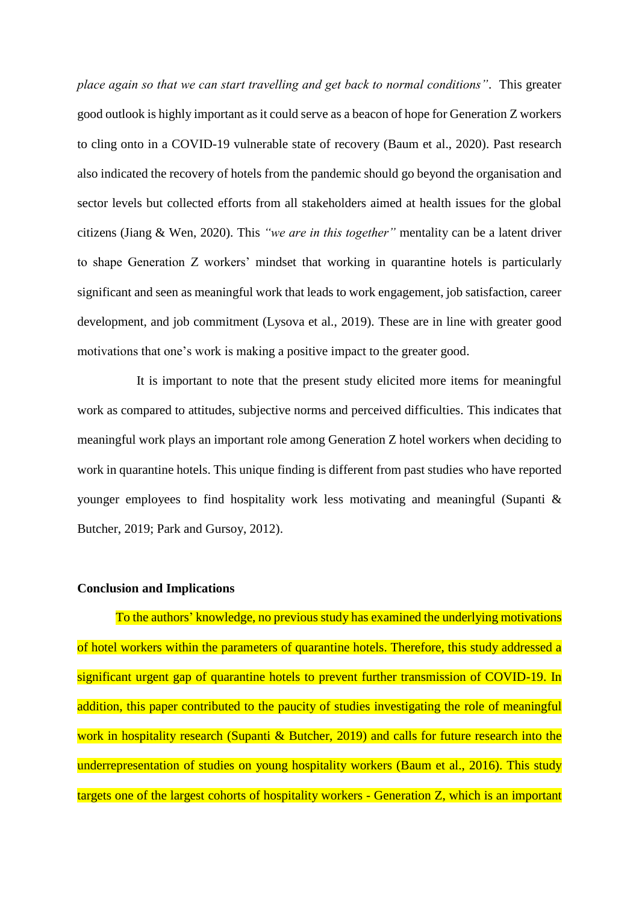*place again so that we can start travelling and get back to normal conditions"*. This greater good outlook is highly important as it could serve as a beacon of hope for Generation Z workers to cling onto in a COVID-19 vulnerable state of recovery (Baum et al., 2020). Past research also indicated the recovery of hotels from the pandemic should go beyond the organisation and sector levels but collected efforts from all stakeholders aimed at health issues for the global citizens (Jiang & Wen, 2020). This *"we are in this together"* mentality can be a latent driver to shape Generation Z workers' mindset that working in quarantine hotels is particularly significant and seen as meaningful work that leads to work engagement, job satisfaction, career development, and job commitment (Lysova et al., 2019). These are in line with greater good motivations that one's work is making a positive impact to the greater good.

It is important to note that the present study elicited more items for meaningful work as compared to attitudes, subjective norms and perceived difficulties. This indicates that meaningful work plays an important role among Generation Z hotel workers when deciding to work in quarantine hotels. This unique finding is different from past studies who have reported younger employees to find hospitality work less motivating and meaningful (Supanti & Butcher, 2019; Park and Gursoy, 2012).

## **Conclusion and Implications**

To the authors' knowledge, no previous study has examined the underlying motivations of hotel workers within the parameters of quarantine hotels. Therefore, this study addressed a significant urgent gap of quarantine hotels to prevent further transmission of COVID-19. In addition, this paper contributed to the paucity of studies investigating the role of meaningful work in hospitality research (Supanti & Butcher, 2019) and calls for future research into the underrepresentation of studies on young hospitality workers (Baum et al., 2016). This study targets one of the largest cohorts of hospitality workers - Generation Z, which is an important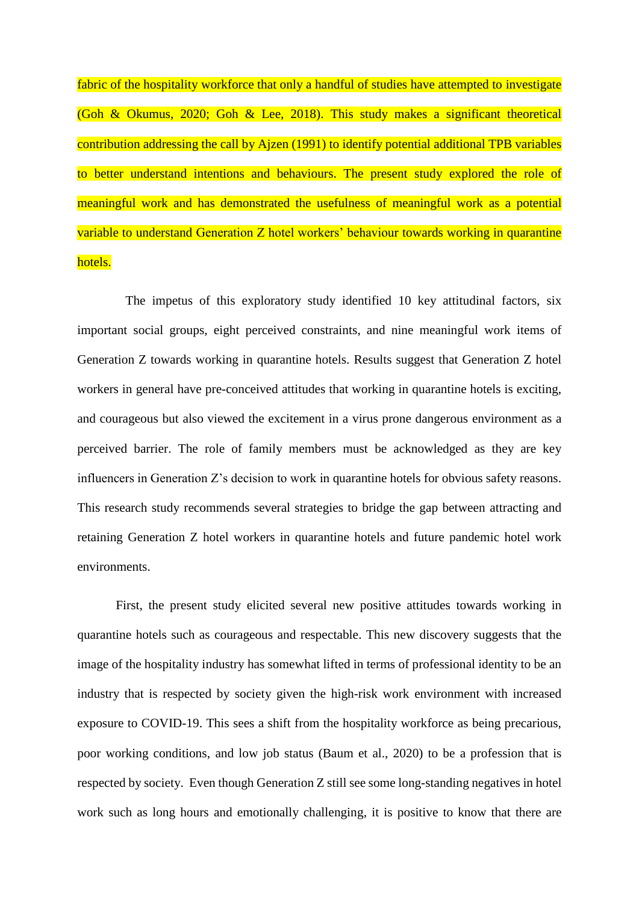fabric of the hospitality workforce that only a handful of studies have attempted to investigate (Goh & Okumus, 2020; Goh & Lee, 2018). This study makes a significant theoretical contribution addressing the call by Ajzen (1991) to identify potential additional TPB variables to better understand intentions and behaviours. The present study explored the role of meaningful work and has demonstrated the usefulness of meaningful work as a potential variable to understand Generation Z hotel workers' behaviour towards working in quarantine hotels.

The impetus of this exploratory study identified 10 key attitudinal factors, six important social groups, eight perceived constraints, and nine meaningful work items of Generation Z towards working in quarantine hotels. Results suggest that Generation Z hotel workers in general have pre-conceived attitudes that working in quarantine hotels is exciting, and courageous but also viewed the excitement in a virus prone dangerous environment as a perceived barrier. The role of family members must be acknowledged as they are key influencers in Generation Z's decision to work in quarantine hotels for obvious safety reasons. This research study recommends several strategies to bridge the gap between attracting and retaining Generation Z hotel workers in quarantine hotels and future pandemic hotel work environments.

First, the present study elicited several new positive attitudes towards working in quarantine hotels such as courageous and respectable. This new discovery suggests that the image of the hospitality industry has somewhat lifted in terms of professional identity to be an industry that is respected by society given the high-risk work environment with increased exposure to COVID-19. This sees a shift from the hospitality workforce as being precarious, poor working conditions, and low job status (Baum et al., 2020) to be a profession that is respected by society. Even though Generation Z still see some long-standing negatives in hotel work such as long hours and emotionally challenging, it is positive to know that there are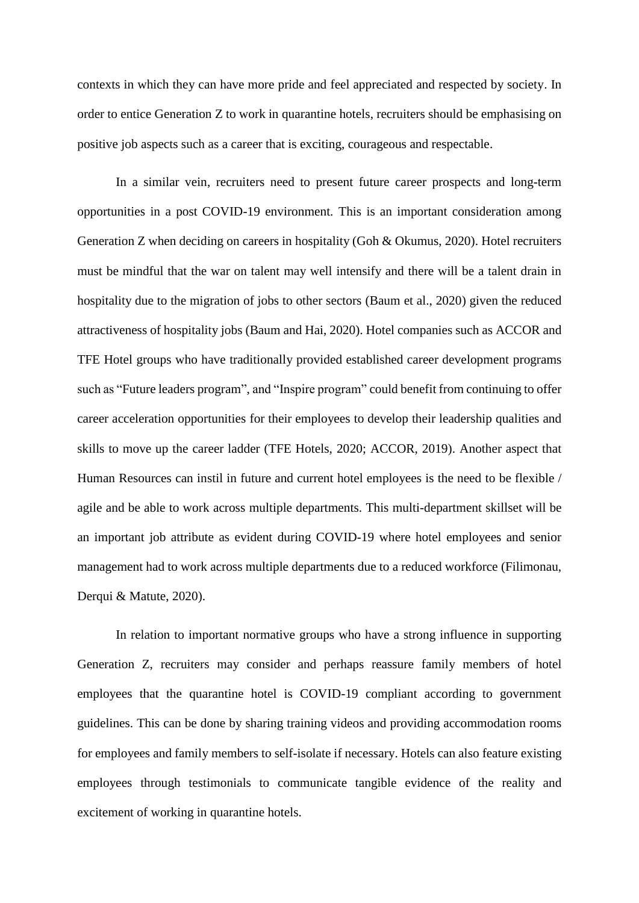contexts in which they can have more pride and feel appreciated and respected by society. In order to entice Generation Z to work in quarantine hotels, recruiters should be emphasising on positive job aspects such as a career that is exciting, courageous and respectable.

In a similar vein, recruiters need to present future career prospects and long-term opportunities in a post COVID-19 environment. This is an important consideration among Generation Z when deciding on careers in hospitality (Goh & Okumus, 2020). Hotel recruiters must be mindful that the war on talent may well intensify and there will be a talent drain in hospitality due to the migration of jobs to other sectors (Baum et al., 2020) given the reduced attractiveness of hospitality jobs (Baum and Hai, 2020). Hotel companies such as ACCOR and TFE Hotel groups who have traditionally provided established career development programs such as "Future leaders program", and "Inspire program" could benefit from continuing to offer career acceleration opportunities for their employees to develop their leadership qualities and skills to move up the career ladder (TFE Hotels, 2020; ACCOR, 2019). Another aspect that Human Resources can instil in future and current hotel employees is the need to be flexible / agile and be able to work across multiple departments. This multi-department skillset will be an important job attribute as evident during COVID-19 where hotel employees and senior management had to work across multiple departments due to a reduced workforce (Filimonau, Derqui & Matute, 2020).

In relation to important normative groups who have a strong influence in supporting Generation Z, recruiters may consider and perhaps reassure family members of hotel employees that the quarantine hotel is COVID-19 compliant according to government guidelines. This can be done by sharing training videos and providing accommodation rooms for employees and family members to self-isolate if necessary. Hotels can also feature existing employees through testimonials to communicate tangible evidence of the reality and excitement of working in quarantine hotels.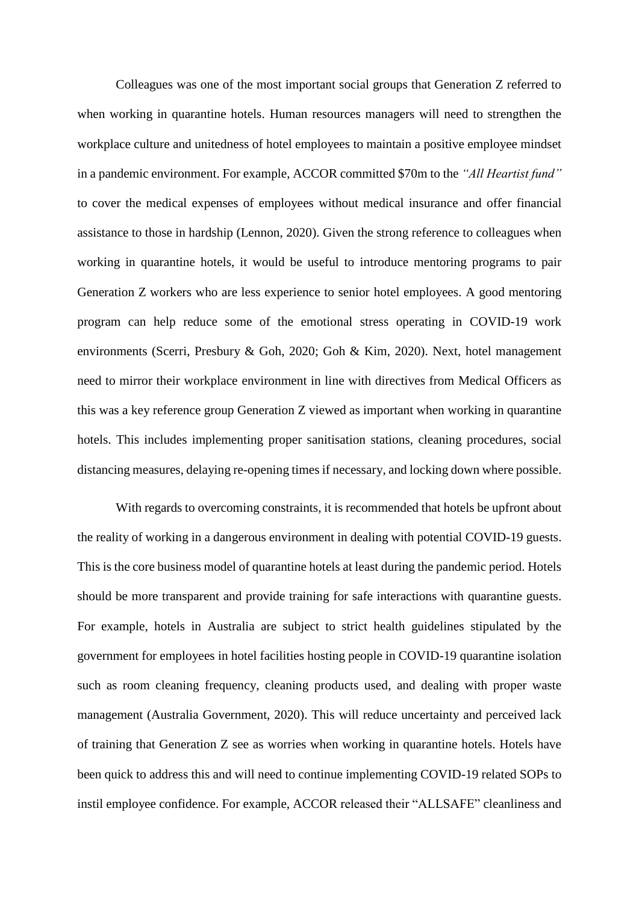Colleagues was one of the most important social groups that Generation Z referred to when working in quarantine hotels. Human resources managers will need to strengthen the workplace culture and unitedness of hotel employees to maintain a positive employee mindset in a pandemic environment. For example, ACCOR committed \$70m to the *"All Heartist fund"* to cover the medical expenses of employees without medical insurance and offer financial assistance to those in hardship (Lennon, 2020). Given the strong reference to colleagues when working in quarantine hotels, it would be useful to introduce mentoring programs to pair Generation Z workers who are less experience to senior hotel employees. A good mentoring program can help reduce some of the emotional stress operating in COVID-19 work environments (Scerri, Presbury & Goh, 2020; Goh & Kim, 2020). Next, hotel management need to mirror their workplace environment in line with directives from Medical Officers as this was a key reference group Generation Z viewed as important when working in quarantine hotels. This includes implementing proper sanitisation stations, cleaning procedures, social distancing measures, delaying re-opening times if necessary, and locking down where possible.

With regards to overcoming constraints, it is recommended that hotels be upfront about the reality of working in a dangerous environment in dealing with potential COVID-19 guests. This is the core business model of quarantine hotels at least during the pandemic period. Hotels should be more transparent and provide training for safe interactions with quarantine guests. For example, hotels in Australia are subject to strict health guidelines stipulated by the government for employees in hotel facilities hosting people in COVID-19 quarantine isolation such as room cleaning frequency, cleaning products used, and dealing with proper waste management (Australia Government, 2020). This will reduce uncertainty and perceived lack of training that Generation Z see as worries when working in quarantine hotels. Hotels have been quick to address this and will need to continue implementing COVID-19 related SOPs to instil employee confidence. For example, ACCOR released their "ALLSAFE" cleanliness and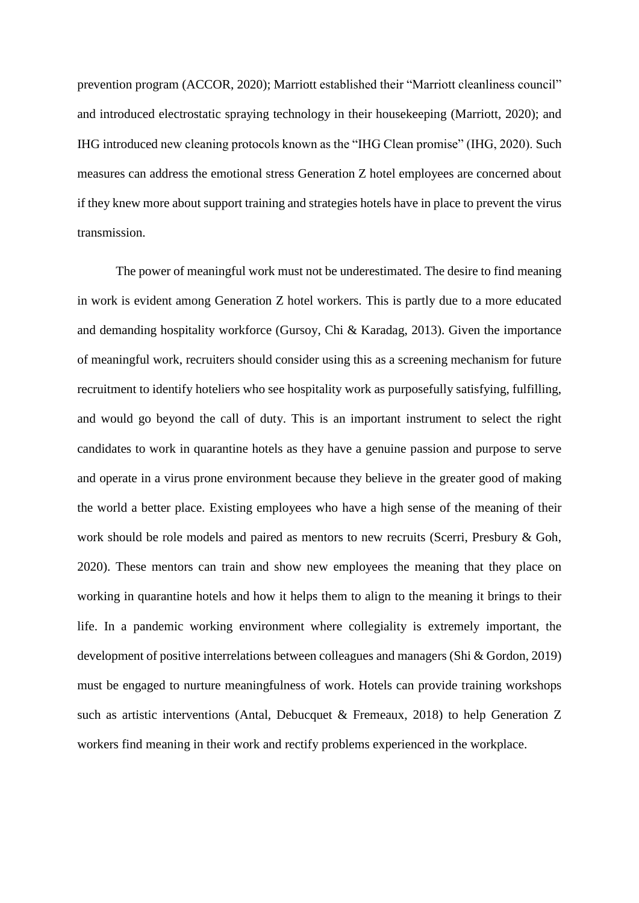prevention program (ACCOR, 2020); Marriott established their "Marriott cleanliness council" and introduced electrostatic spraying technology in their housekeeping (Marriott, 2020); and IHG introduced new cleaning protocols known as the "IHG Clean promise" (IHG, 2020). Such measures can address the emotional stress Generation Z hotel employees are concerned about if they knew more about support training and strategies hotels have in place to prevent the virus transmission.

The power of meaningful work must not be underestimated. The desire to find meaning in work is evident among Generation Z hotel workers. This is partly due to a more educated and demanding hospitality workforce (Gursoy, Chi & Karadag, 2013). Given the importance of meaningful work, recruiters should consider using this as a screening mechanism for future recruitment to identify hoteliers who see hospitality work as purposefully satisfying, fulfilling, and would go beyond the call of duty. This is an important instrument to select the right candidates to work in quarantine hotels as they have a genuine passion and purpose to serve and operate in a virus prone environment because they believe in the greater good of making the world a better place. Existing employees who have a high sense of the meaning of their work should be role models and paired as mentors to new recruits (Scerri, Presbury & Goh, 2020). These mentors can train and show new employees the meaning that they place on working in quarantine hotels and how it helps them to align to the meaning it brings to their life. In a pandemic working environment where collegiality is extremely important, the development of positive interrelations between colleagues and managers (Shi & Gordon, 2019) must be engaged to nurture meaningfulness of work. Hotels can provide training workshops such as artistic interventions (Antal, Debucquet & Fremeaux, 2018) to help Generation Z workers find meaning in their work and rectify problems experienced in the workplace.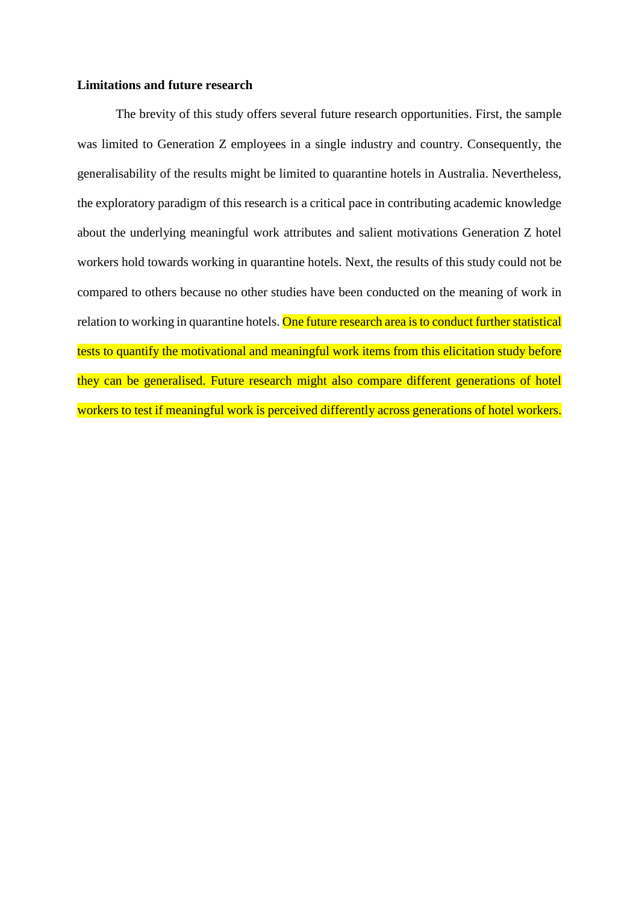## **Limitations and future research**

The brevity of this study offers several future research opportunities. First, the sample was limited to Generation Z employees in a single industry and country. Consequently, the generalisability of the results might be limited to quarantine hotels in Australia. Nevertheless, the exploratory paradigm of this research is a critical pace in contributing academic knowledge about the underlying meaningful work attributes and salient motivations Generation Z hotel workers hold towards working in quarantine hotels. Next, the results of this study could not be compared to others because no other studies have been conducted on the meaning of work in relation to working in quarantine hotels. One future research area is to conduct further statistical tests to quantify the motivational and meaningful work items from this elicitation study before they can be generalised. Future research might also compare different generations of hotel workers to test if meaningful work is perceived differently across generations of hotel workers.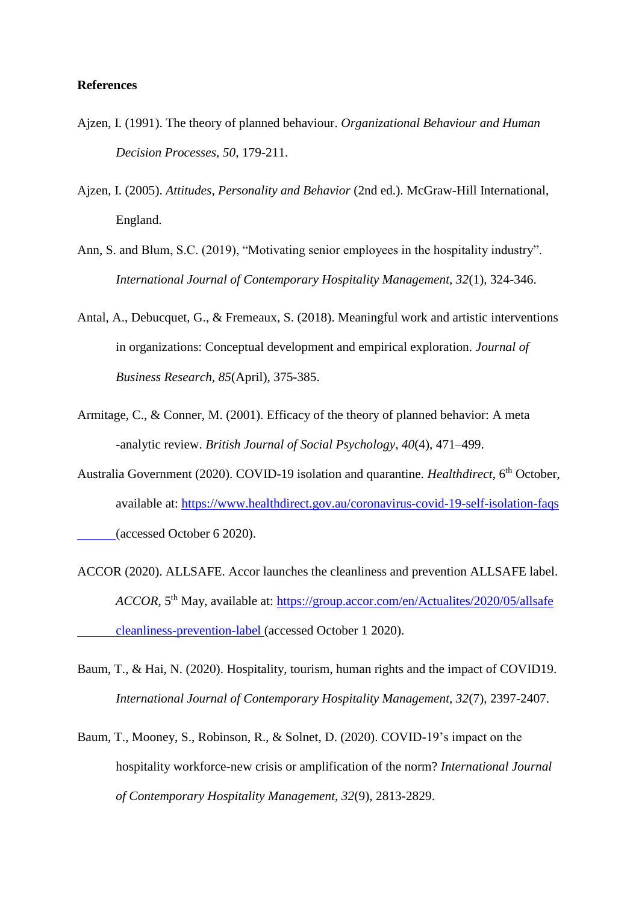## **References**

- Ajzen, I. (1991). The theory of planned behaviour. *Organizational Behaviour and Human Decision Processes, 50*, 179-211.
- Ajzen, I. (2005). *Attitudes, Personality and Behavior* (2nd ed.). McGraw-Hill International, England.
- Ann, S. and Blum, S.C. (2019), "Motivating senior employees in the hospitality industry". *International Journal of Contemporary Hospitality Management, 32*(1), 324-346.
- Antal, A., Debucquet, G., & Fremeaux, S. (2018). Meaningful work and artistic interventions in organizations: Conceptual development and empirical exploration. *Journal of Business Research, 85*(April), 375-385.
- Armitage, C., & Conner, M. (2001). Efficacy of the theory of planned behavior: A meta -analytic review. *British Journal of Social Psychology, 40*(4), 471–499.
- Australia Government (2020). COVID-19 isolation and quarantine. *Healthdirect*, 6<sup>th</sup> October, available at: <https://www.healthdirect.gov.au/coronavirus-covid-19-self-isolation-faqs> (accessed October 6 2020).
- ACCOR (2020). ALLSAFE. Accor launches the cleanliness and prevention ALLSAFE label. *ACCOR*, 5th May, available at: [https://group.accor.com/en/Actualites/2020/05/allsafe](https://group.accor.com/en/Actualites/2020/05/allsafe%09cleanliness-prevention-label) [cleanliness-prevention-label](https://group.accor.com/en/Actualites/2020/05/allsafe%09cleanliness-prevention-label) (accessed October 1 2020).
- Baum, T., & Hai, N. (2020). Hospitality, tourism, human rights and the impact of COVID19. *International Journal of Contemporary Hospitality Management, 32*(7), 2397-2407.
- Baum, T., Mooney, S., Robinson, R., & Solnet, D. (2020). COVID-19's impact on the hospitality workforce-new crisis or amplification of the norm? *International Journal of Contemporary Hospitality Management, 32*(9), 2813-2829.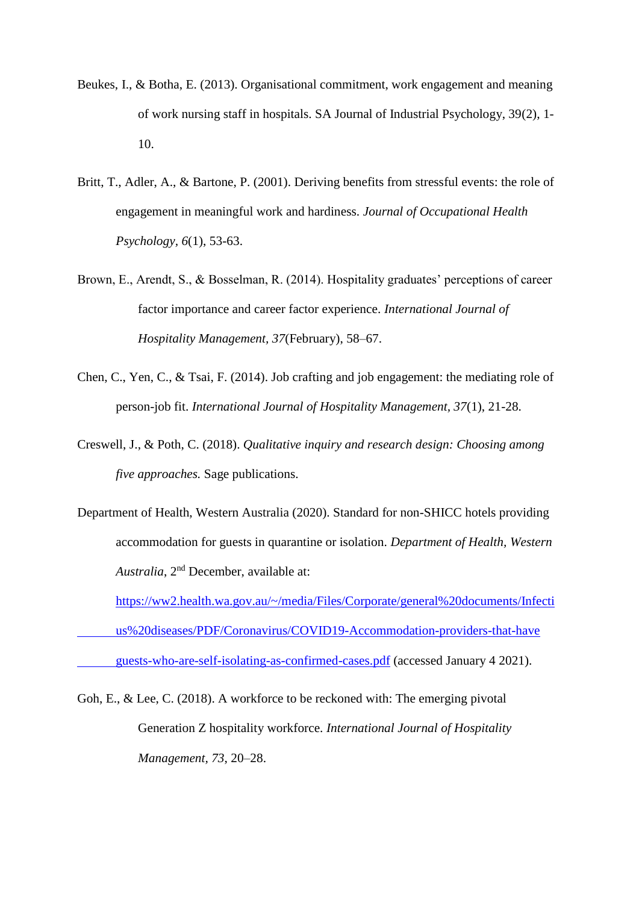- Beukes, I., & Botha, E. (2013). Organisational commitment, work engagement and meaning of work nursing staff in hospitals. SA Journal of Industrial Psychology, 39(2), 1- 10.
- Britt, T., Adler, A., & Bartone, P. (2001). Deriving benefits from stressful events: the role of engagement in meaningful work and hardiness. *Journal of Occupational Health Psychology, 6*(1), 53-63.
- Brown, E., Arendt, S., & Bosselman, R. (2014). Hospitality graduates' perceptions of career factor importance and career factor experience. *International Journal of Hospitality Management, 37*(February), 58–67.
- Chen, C., Yen, C., & Tsai, F. (2014). Job crafting and job engagement: the mediating role of person-job fit. *International Journal of Hospitality Management, 37*(1), 21-28.
- Creswell, J., & Poth, C. (2018). *Qualitative inquiry and research design: Choosing among five approaches.* Sage publications.
- Department of Health, Western Australia (2020). Standard for non-SHICC hotels providing accommodation for guests in quarantine or isolation. *Department of Health, Western* Australia, 2<sup>nd</sup> December, available at:

[https://ww2.health.wa.gov.au/~/media/Files/Corporate/general%20documents/Infecti](https://ww2.health.wa.gov.au/~/media/Files/Corporate/general%20documents/Infecti%09us%20diseases/PDF/Coronavirus/COVID19-Accommodation-providers-that-have%09guests-who-are-self-isolating-as-confirmed-cases.pdf) [us%20diseases/PDF/Coronavirus/COVID19-Accommodation-providers-that-have](https://ww2.health.wa.gov.au/~/media/Files/Corporate/general%20documents/Infecti%09us%20diseases/PDF/Coronavirus/COVID19-Accommodation-providers-that-have%09guests-who-are-self-isolating-as-confirmed-cases.pdf)

[guests-who-are-self-isolating-as-confirmed-cases.pdf](https://ww2.health.wa.gov.au/~/media/Files/Corporate/general%20documents/Infecti%09us%20diseases/PDF/Coronavirus/COVID19-Accommodation-providers-that-have%09guests-who-are-self-isolating-as-confirmed-cases.pdf) (accessed January 4 2021).

Goh, E., & Lee, C. (2018). A workforce to be reckoned with: The emerging pivotal Generation Z hospitality workforce. *International Journal of Hospitality Management, 73*, 20–28.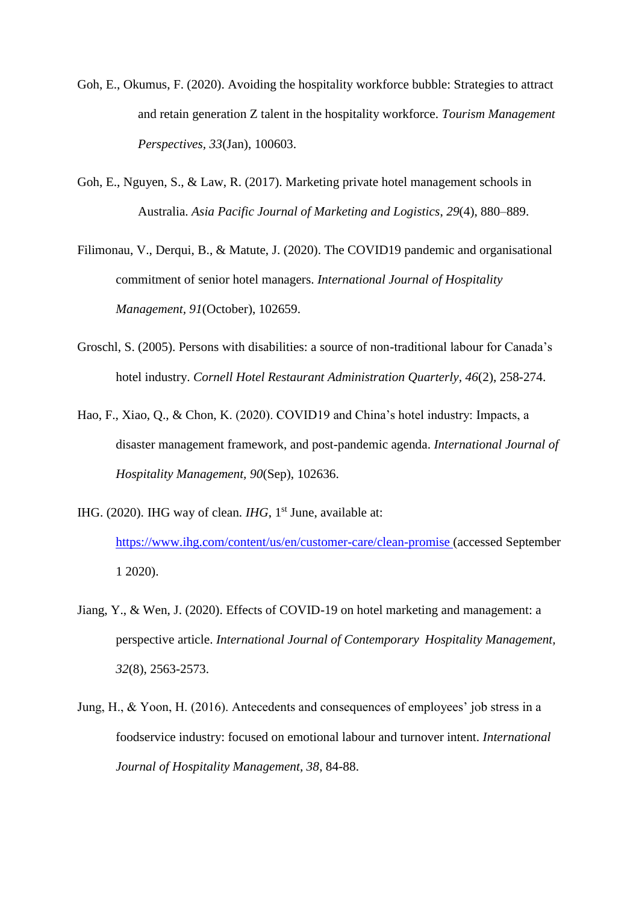- Goh, E., Okumus, F. (2020). Avoiding the hospitality workforce bubble: Strategies to attract and retain generation Z talent in the hospitality workforce. *Tourism Management Perspectives, 33*(Jan), 100603.
- Goh, E., Nguyen, S., & Law, R. (2017). Marketing private hotel management schools in Australia. *Asia Pacific Journal of Marketing and Logistics*, *29*(4), 880–889.
- Filimonau, V., Derqui, B., & Matute, J. (2020). The COVID19 pandemic and organisational commitment of senior hotel managers. *International Journal of Hospitality Management, 91*(October), 102659.
- Groschl, S. (2005). Persons with disabilities: a source of non-traditional labour for Canada's hotel industry. *Cornell Hotel Restaurant Administration Quarterly, 46*(2), 258-274.
- Hao, F., Xiao, Q., & Chon, K. (2020). COVID19 and China's hotel industry: Impacts, a disaster management framework, and post-pandemic agenda. *International Journal of Hospitality Management, 90*(Sep), 102636.
- IHG. (2020). IHG way of clean. *IHG*, 1<sup>st</sup> June, available at: <https://www.ihg.com/content/us/en/customer-care/clean-promise> (accessed September 1 2020).
- Jiang, Y., & Wen, J. (2020). Effects of COVID-19 on hotel marketing and management: a perspective article. *International Journal of Contemporary Hospitality Management, 32*(8), 2563-2573.
- Jung, H., & Yoon, H. (2016). Antecedents and consequences of employees' job stress in a foodservice industry: focused on emotional labour and turnover intent. *International Journal of Hospitality Management, 38*, 84-88.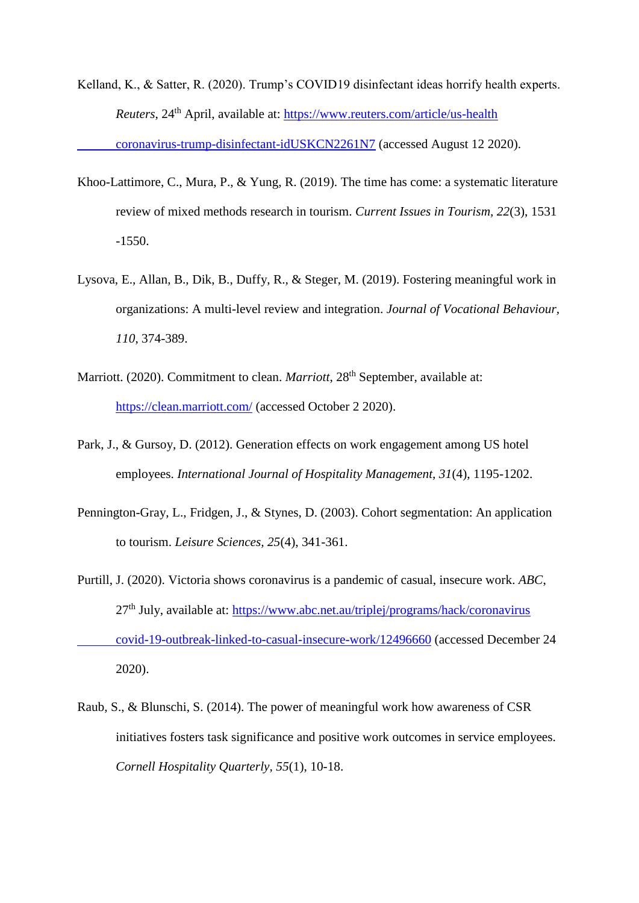- Kelland, K., & Satter, R. (2020). Trump's COVID19 disinfectant ideas horrify health experts. *Reuters*, 24th April, available at: [https://www.reuters.com/article/us-health](https://www.reuters.com/article/us-health%09coronavirus-trump-disinfectant-idUSKCN2261N7) [coronavirus-trump-disinfectant-idUSKCN2261N7](https://www.reuters.com/article/us-health%09coronavirus-trump-disinfectant-idUSKCN2261N7) (accessed August 12 2020).
- Khoo-Lattimore, C., Mura, P., & Yung, R. (2019). The time has come: a systematic literature review of mixed methods research in tourism. *Current Issues in Tourism, 22*(3), 1531 -1550.
- Lysova, E., Allan, B., Dik, B., Duffy, R., & Steger, M. (2019). Fostering meaningful work in organizations: A multi-level review and integration. *Journal of Vocational Behaviour, 110*, 374-389.
- Marriott. (2020). Commitment to clean. *Marriott*, 28<sup>th</sup> September, available at: <https://clean.marriott.com/> (accessed October 2 2020).
- Park, J., & Gursoy, D. (2012). Generation effects on work engagement among US hotel employees. *International Journal of Hospitality Management, 31*(4), 1195-1202.
- Pennington-Gray, L., Fridgen, J., & Stynes, D. (2003). Cohort segmentation: An application to tourism. *Leisure Sciences, 25*(4), 341-361.
- Purtill, J. (2020). Victoria shows coronavirus is a pandemic of casual, insecure work. *ABC*,  $27<sup>th</sup>$  July, available at: [https://www.abc.net.au/triplej/programs/hack/coronavirus](https://www.abc.net.au/triplej/programs/hack/coronavirus%09covid-19-outbreak-linked-to-casual-insecure-work/12496660) [covid-19-outbreak-linked-to-casual-insecure-work/12496660](https://www.abc.net.au/triplej/programs/hack/coronavirus%09covid-19-outbreak-linked-to-casual-insecure-work/12496660) (accessed December 24 2020).
- Raub, S., & Blunschi, S. (2014). The power of meaningful work how awareness of CSR initiatives fosters task significance and positive work outcomes in service employees. *Cornell Hospitality Quarterly, 55*(1), 10-18.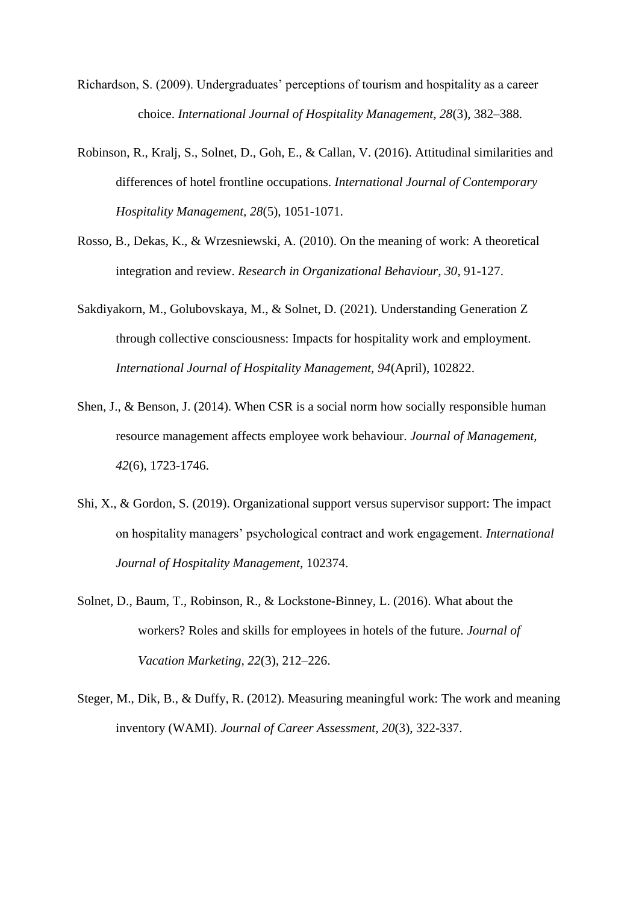- Richardson, S. (2009). Undergraduates' perceptions of tourism and hospitality as a career choice. *International Journal of Hospitality Management, 28*(3), 382–388.
- Robinson, R., Kralj, S., Solnet, D., Goh, E., & Callan, V. (2016). Attitudinal similarities and differences of hotel frontline occupations. *International Journal of Contemporary Hospitality Management, 28*(5), 1051-1071.
- Rosso, B., Dekas, K., & Wrzesniewski, A. (2010). On the meaning of work: A theoretical integration and review. *Research in Organizational Behaviour, 30*, 91-127.
- Sakdiyakorn, M., Golubovskaya, M., & Solnet, D. (2021). Understanding Generation Z through collective consciousness: Impacts for hospitality work and employment. *International Journal of Hospitality Management, 94*(April), 102822.
- Shen, J., & Benson, J. (2014). When CSR is a social norm how socially responsible human resource management affects employee work behaviour. *Journal of Management, 42*(6), 1723-1746.
- Shi, X., & Gordon, S. (2019). Organizational support versus supervisor support: The impact on hospitality managers' psychological contract and work engagement. *International Journal of Hospitality Management*, 102374.
- Solnet, D., Baum, T., Robinson, R., & Lockstone-Binney, L. (2016). What about the workers? Roles and skills for employees in hotels of the future. *Journal of Vacation Marketing, 22*(3), 212–226.
- Steger, M., Dik, B., & Duffy, R. (2012). Measuring meaningful work: The work and meaning inventory (WAMI). *Journal of Career Assessment, 20*(3), 322-337.